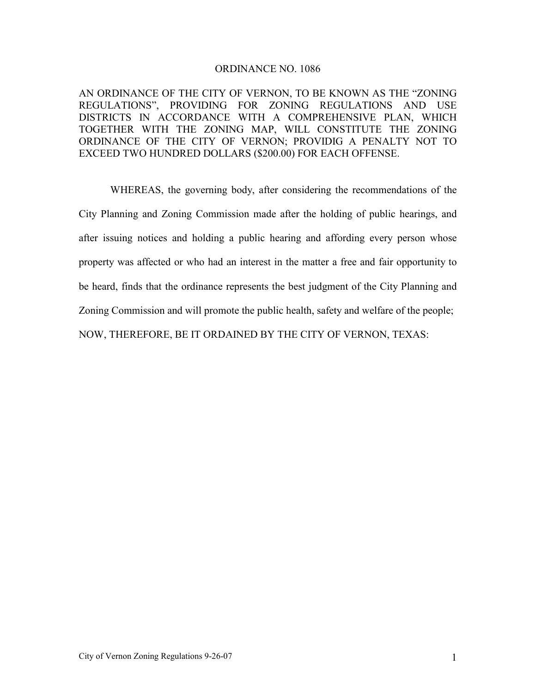# ORDINANCE NO. 1086

AN ORDINANCE OF THE CITY OF VERNON, TO BE KNOWN AS THE "ZONING REGULATIONS", PROVIDING FOR ZONING REGULATIONS AND USE DISTRICTS IN ACCORDANCE WITH A COMPREHENSIVE PLAN, WHICH TOGETHER WITH THE ZONING MAP, WILL CONSTITUTE THE ZONING ORDINANCE OF THE CITY OF VERNON; PROVIDIG A PENALTY NOT TO EXCEED TWO HUNDRED DOLLARS (\$200.00) FOR EACH OFFENSE.

 WHEREAS, the governing body, after considering the recommendations of the City Planning and Zoning Commission made after the holding of public hearings, and after issuing notices and holding a public hearing and affording every person whose property was affected or who had an interest in the matter a free and fair opportunity to be heard, finds that the ordinance represents the best judgment of the City Planning and Zoning Commission and will promote the public health, safety and welfare of the people; NOW, THEREFORE, BE IT ORDAINED BY THE CITY OF VERNON, TEXAS: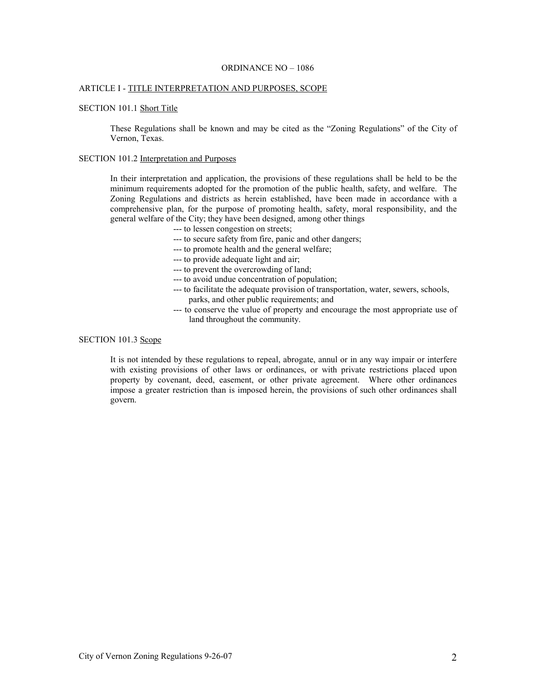### ORDINANCE NO – 1086

### ARTICLE I - TITLE INTERPRETATION AND PURPOSES, SCOPE

#### SECTION 101.1 Short Title

These Regulations shall be known and may be cited as the "Zoning Regulations" of the City of Vernon, Texas.

### SECTION 101.2 Interpretation and Purposes

In their interpretation and application, the provisions of these regulations shall be held to be the minimum requirements adopted for the promotion of the public health, safety, and welfare. The Zoning Regulations and districts as herein established, have been made in accordance with a comprehensive plan, for the purpose of promoting health, safety, moral responsibility, and the general welfare of the City; they have been designed, among other things

--- to lessen congestion on streets;

- --- to secure safety from fire, panic and other dangers;
- --- to promote health and the general welfare;
- --- to provide adequate light and air;
- --- to prevent the overcrowding of land;
- --- to avoid undue concentration of population;
- --- to facilitate the adequate provision of transportation, water, sewers, schools, parks, and other public requirements; and
- --- to conserve the value of property and encourage the most appropriate use of land throughout the community.

# SECTION 101.3 Scope

It is not intended by these regulations to repeal, abrogate, annul or in any way impair or interfere with existing provisions of other laws or ordinances, or with private restrictions placed upon property by covenant, deed, easement, or other private agreement. Where other ordinances impose a greater restriction than is imposed herein, the provisions of such other ordinances shall govern.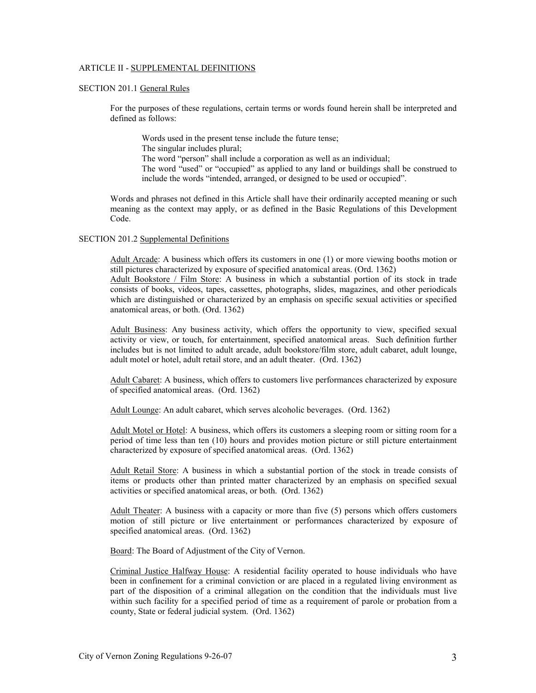### ARTICLE II - SUPPLEMENTAL DEFINITIONS

# SECTION 201.1 General Rules

For the purposes of these regulations, certain terms or words found herein shall be interpreted and defined as follows:

Words used in the present tense include the future tense; The singular includes plural; The word "person" shall include a corporation as well as an individual; The word "used" or "occupied" as applied to any land or buildings shall be construed to include the words "intended, arranged, or designed to be used or occupied".

Words and phrases not defined in this Article shall have their ordinarily accepted meaning or such meaning as the context may apply, or as defined in the Basic Regulations of this Development Code.

#### SECTION 201.2 Supplemental Definitions

Adult Arcade: A business which offers its customers in one (1) or more viewing booths motion or still pictures characterized by exposure of specified anatomical areas. (Ord. 1362)

Adult Bookstore / Film Store: A business in which a substantial portion of its stock in trade consists of books, videos, tapes, cassettes, photographs, slides, magazines, and other periodicals which are distinguished or characterized by an emphasis on specific sexual activities or specified anatomical areas, or both. (Ord. 1362)

Adult Business: Any business activity, which offers the opportunity to view, specified sexual activity or view, or touch, for entertainment, specified anatomical areas. Such definition further includes but is not limited to adult arcade, adult bookstore/film store, adult cabaret, adult lounge, adult motel or hotel, adult retail store, and an adult theater. (Ord. 1362)

Adult Cabaret: A business, which offers to customers live performances characterized by exposure of specified anatomical areas. (Ord. 1362)

Adult Lounge: An adult cabaret, which serves alcoholic beverages. (Ord. 1362)

Adult Motel or Hotel: A business, which offers its customers a sleeping room or sitting room for a period of time less than ten (10) hours and provides motion picture or still picture entertainment characterized by exposure of specified anatomical areas. (Ord. 1362)

Adult Retail Store: A business in which a substantial portion of the stock in treade consists of items or products other than printed matter characterized by an emphasis on specified sexual activities or specified anatomical areas, or both. (Ord. 1362)

Adult Theater: A business with a capacity or more than five (5) persons which offers customers motion of still picture or live entertainment or performances characterized by exposure of specified anatomical areas. (Ord. 1362)

Board: The Board of Adjustment of the City of Vernon.

Criminal Justice Halfway House: A residential facility operated to house individuals who have been in confinement for a criminal conviction or are placed in a regulated living environment as part of the disposition of a criminal allegation on the condition that the individuals must live within such facility for a specified period of time as a requirement of parole or probation from a county, State or federal judicial system. (Ord. 1362)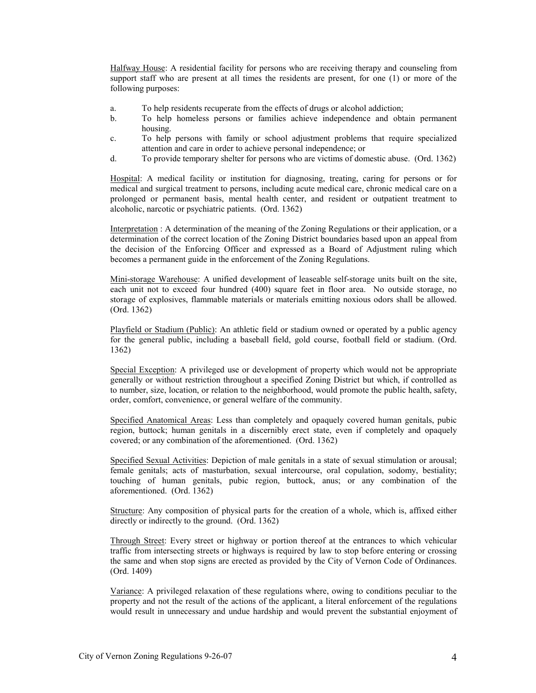Halfway House: A residential facility for persons who are receiving therapy and counseling from support staff who are present at all times the residents are present, for one (1) or more of the following purposes:

- a. To help residents recuperate from the effects of drugs or alcohol addiction;
- b. To help homeless persons or families achieve independence and obtain permanent housing.
- c. To help persons with family or school adjustment problems that require specialized attention and care in order to achieve personal independence; or
- d. To provide temporary shelter for persons who are victims of domestic abuse. (Ord. 1362)

Hospital: A medical facility or institution for diagnosing, treating, caring for persons or for medical and surgical treatment to persons, including acute medical care, chronic medical care on a prolonged or permanent basis, mental health center, and resident or outpatient treatment to alcoholic, narcotic or psychiatric patients. (Ord. 1362)

Interpretation : A determination of the meaning of the Zoning Regulations or their application, or a determination of the correct location of the Zoning District boundaries based upon an appeal from the decision of the Enforcing Officer and expressed as a Board of Adjustment ruling which becomes a permanent guide in the enforcement of the Zoning Regulations.

Mini-storage Warehouse: A unified development of leaseable self-storage units built on the site, each unit not to exceed four hundred (400) square feet in floor area. No outside storage, no storage of explosives, flammable materials or materials emitting noxious odors shall be allowed. (Ord. 1362)

Playfield or Stadium (Public): An athletic field or stadium owned or operated by a public agency for the general public, including a baseball field, gold course, football field or stadium. (Ord. 1362)

Special Exception: A privileged use or development of property which would not be appropriate generally or without restriction throughout a specified Zoning District but which, if controlled as to number, size, location, or relation to the neighborhood, would promote the public health, safety, order, comfort, convenience, or general welfare of the community.

Specified Anatomical Areas: Less than completely and opaquely covered human genitals, pubic region, buttock; human genitals in a discernibly erect state, even if completely and opaquely covered; or any combination of the aforementioned. (Ord. 1362)

Specified Sexual Activities: Depiction of male genitals in a state of sexual stimulation or arousal; female genitals; acts of masturbation, sexual intercourse, oral copulation, sodomy, bestiality; touching of human genitals, pubic region, buttock, anus; or any combination of the aforementioned. (Ord. 1362)

Structure: Any composition of physical parts for the creation of a whole, which is, affixed either directly or indirectly to the ground. (Ord. 1362)

Through Street: Every street or highway or portion thereof at the entrances to which vehicular traffic from intersecting streets or highways is required by law to stop before entering or crossing the same and when stop signs are erected as provided by the City of Vernon Code of Ordinances. (Ord. 1409)

Variance: A privileged relaxation of these regulations where, owing to conditions peculiar to the property and not the result of the actions of the applicant, a literal enforcement of the regulations would result in unnecessary and undue hardship and would prevent the substantial enjoyment of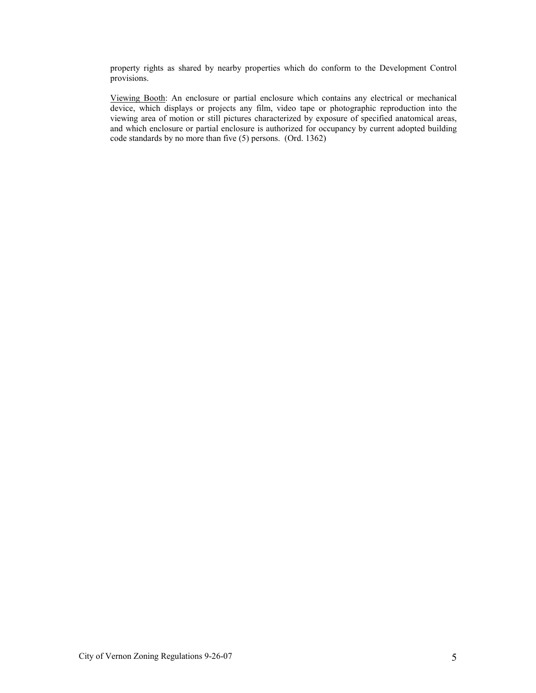property rights as shared by nearby properties which do conform to the Development Control provisions.

Viewing Booth: An enclosure or partial enclosure which contains any electrical or mechanical device, which displays or projects any film, video tape or photographic reproduction into the viewing area of motion or still pictures characterized by exposure of specified anatomical areas, and which enclosure or partial enclosure is authorized for occupancy by current adopted building code standards by no more than five (5) persons. (Ord. 1362)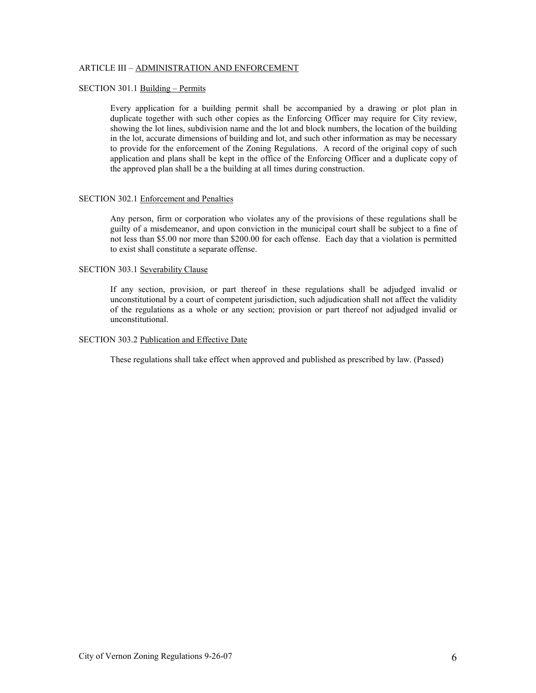### ARTICLE III – ADMINISTRATION AND ENFORCEMENT

# SECTION 301.1 Building – Permits

Every application for a building permit shall be accompanied by a drawing or plot plan in duplicate together with such other copies as the Enforcing Officer may require for City review, showing the lot lines, subdivision name and the lot and block numbers, the location of the building in the lot, accurate dimensions of building and lot, and such other information as may be necessary to provide for the enforcement of the Zoning Regulations. A record of the original copy of such application and plans shall be kept in the office of the Enforcing Officer and a duplicate copy of the approved plan shall be a the building at all times during construction.

#### SECTION 302.1 Enforcement and Penalties

Any person, firm or corporation who violates any of the provisions of these regulations shall be guilty of a misdemeanor, and upon conviction in the municipal court shall be subject to a fine of not less than \$5.00 nor more than \$200.00 for each offense. Each day that a violation is permitted to exist shall constitute a separate offense.

# SECTION 303.1 Severability Clause

If any section, provision, or part thereof in these regulations shall be adjudged invalid or unconstitutional by a court of competent jurisdiction, such adjudication shall not affect the validity of the regulations as a whole or any section; provision or part thereof not adjudged invalid or unconstitutional.

#### SECTION 303.2 Publication and Effective Date

These regulations shall take effect when approved and published as prescribed by law. (Passed)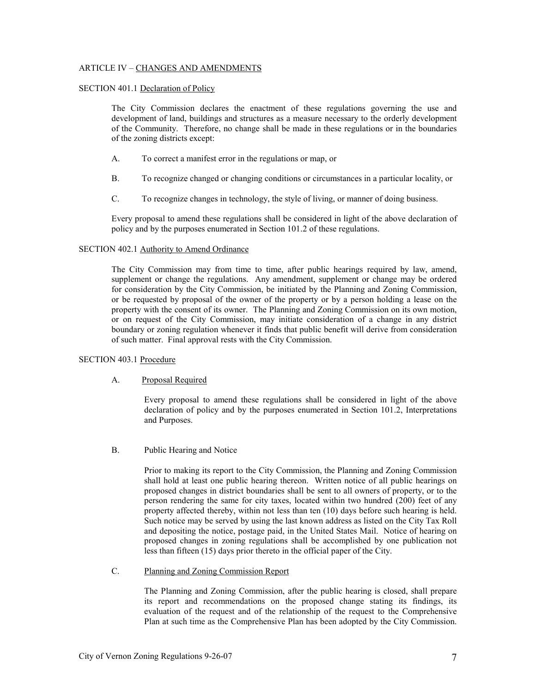### ARTICLE IV – CHANGES AND AMENDMENTS

### SECTION 401.1 Declaration of Policy

The City Commission declares the enactment of these regulations governing the use and development of land, buildings and structures as a measure necessary to the orderly development of the Community. Therefore, no change shall be made in these regulations or in the boundaries of the zoning districts except:

- A. To correct a manifest error in the regulations or map, or
- B. To recognize changed or changing conditions or circumstances in a particular locality, or
- C. To recognize changes in technology, the style of living, or manner of doing business.

Every proposal to amend these regulations shall be considered in light of the above declaration of policy and by the purposes enumerated in Section 101.2 of these regulations.

### SECTION 402.1 Authority to Amend Ordinance

The City Commission may from time to time, after public hearings required by law, amend, supplement or change the regulations. Any amendment, supplement or change may be ordered for consideration by the City Commission, be initiated by the Planning and Zoning Commission, or be requested by proposal of the owner of the property or by a person holding a lease on the property with the consent of its owner. The Planning and Zoning Commission on its own motion, or on request of the City Commission, may initiate consideration of a change in any district boundary or zoning regulation whenever it finds that public benefit will derive from consideration of such matter. Final approval rests with the City Commission.

# SECTION 403.1 Procedure

# A. Proposal Required

Every proposal to amend these regulations shall be considered in light of the above declaration of policy and by the purposes enumerated in Section 101.2, Interpretations and Purposes.

B. Public Hearing and Notice

Prior to making its report to the City Commission, the Planning and Zoning Commission shall hold at least one public hearing thereon. Written notice of all public hearings on proposed changes in district boundaries shall be sent to all owners of property, or to the person rendering the same for city taxes, located within two hundred (200) feet of any property affected thereby, within not less than ten (10) days before such hearing is held. Such notice may be served by using the last known address as listed on the City Tax Roll and depositing the notice, postage paid, in the United States Mail. Notice of hearing on proposed changes in zoning regulations shall be accomplished by one publication not less than fifteen (15) days prior thereto in the official paper of the City.

# C. Planning and Zoning Commission Report

 The Planning and Zoning Commission, after the public hearing is closed, shall prepare its report and recommendations on the proposed change stating its findings, its evaluation of the request and of the relationship of the request to the Comprehensive Plan at such time as the Comprehensive Plan has been adopted by the City Commission.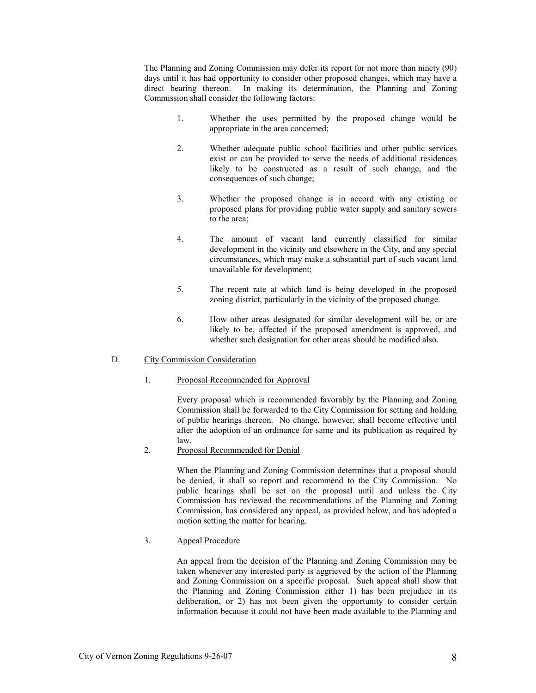The Planning and Zoning Commission may defer its report for not more than ninety (90) days until it has had opportunity to consider other proposed changes, which may have a direct bearing thereon. In making its determination, the Planning and Zoning Commission shall consider the following factors:

- 1. Whether the uses permitted by the proposed change would be appropriate in the area concerned;
- 2. Whether adequate public school facilities and other public services exist or can be provided to serve the needs of additional residences likely to be constructed as a result of such change, and the consequences of such change;
- 3. Whether the proposed change is in accord with any existing or proposed plans for providing public water supply and sanitary sewers to the area;
- 4. The amount of vacant land currently classified for similar development in the vicinity and elsewhere in the City, and any special circumstances, which may make a substantial part of such vacant land unavailable for development;
- 5. The recent rate at which land is being developed in the proposed zoning district, particularly in the vicinity of the proposed change.
- 6. How other areas designated for similar development will be, or are likely to be, affected if the proposed amendment is approved, and whether such designation for other areas should be modified also.

# D. City Commission Consideration

### 1. Proposal Recommended for Approval

 Every proposal which is recommended favorably by the Planning and Zoning Commission shall be forwarded to the City Commission for setting and holding of public hearings thereon. No change, however, shall become effective until after the adoption of an ordinance for same and its publication as required by law.

2. Proposal Recommended for Denial

 When the Planning and Zoning Commission determines that a proposal should be denied, it shall so report and recommend to the City Commission. No public hearings shall be set on the proposal until and unless the City Commission has reviewed the recommendations of the Planning and Zoning Commission, has considered any appeal, as provided below, and has adopted a motion setting the matter for hearing.

# 3. Appeal Procedure

 An appeal from the decision of the Planning and Zoning Commission may be taken whenever any interested party is aggrieved by the action of the Planning and Zoning Commission on a specific proposal. Such appeal shall show that the Planning and Zoning Commission either 1) has been prejudice in its deliberation, or 2) has not been given the opportunity to consider certain information because it could not have been made available to the Planning and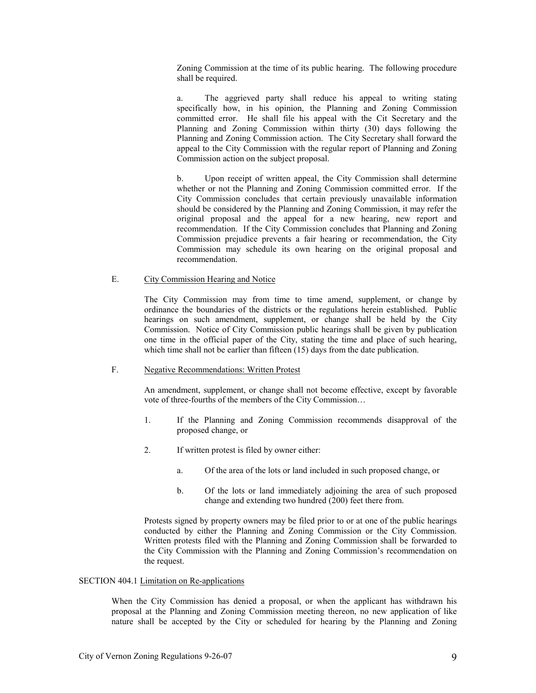Zoning Commission at the time of its public hearing. The following procedure shall be required.

 a. The aggrieved party shall reduce his appeal to writing stating specifically how, in his opinion, the Planning and Zoning Commission committed error. He shall file his appeal with the Cit Secretary and the Planning and Zoning Commission within thirty (30) days following the Planning and Zoning Commission action. The City Secretary shall forward the appeal to the City Commission with the regular report of Planning and Zoning Commission action on the subject proposal.

 b. Upon receipt of written appeal, the City Commission shall determine whether or not the Planning and Zoning Commission committed error. If the City Commission concludes that certain previously unavailable information should be considered by the Planning and Zoning Commission, it may refer the original proposal and the appeal for a new hearing, new report and recommendation. If the City Commission concludes that Planning and Zoning Commission prejudice prevents a fair hearing or recommendation, the City Commission may schedule its own hearing on the original proposal and recommendation.

# E. City Commission Hearing and Notice

 The City Commission may from time to time amend, supplement, or change by ordinance the boundaries of the districts or the regulations herein established. Public hearings on such amendment, supplement, or change shall be held by the City Commission. Notice of City Commission public hearings shall be given by publication one time in the official paper of the City, stating the time and place of such hearing, which time shall not be earlier than fifteen (15) days from the date publication.

### F. Negative Recommendations: Written Protest

 An amendment, supplement, or change shall not become effective, except by favorable vote of three-fourths of the members of the City Commission…

- 1. If the Planning and Zoning Commission recommends disapproval of the proposed change, or
- 2. If written protest is filed by owner either:
	- a. Of the area of the lots or land included in such proposed change, or
	- b. Of the lots or land immediately adjoining the area of such proposed change and extending two hundred  $(200)$  feet there from.

Protests signed by property owners may be filed prior to or at one of the public hearings conducted by either the Planning and Zoning Commission or the City Commission. Written protests filed with the Planning and Zoning Commission shall be forwarded to the City Commission with the Planning and Zoning Commission's recommendation on the request.

### SECTION 404.1 Limitation on Re-applications

 When the City Commission has denied a proposal, or when the applicant has withdrawn his proposal at the Planning and Zoning Commission meeting thereon, no new application of like nature shall be accepted by the City or scheduled for hearing by the Planning and Zoning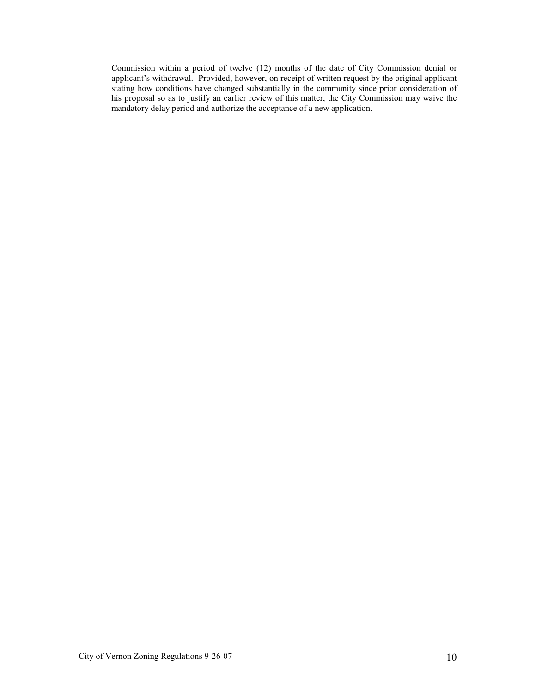Commission within a period of twelve (12) months of the date of City Commission denial or applicant's withdrawal. Provided, however, on receipt of written request by the original applicant stating how conditions have changed substantially in the community since prior consideration of his proposal so as to justify an earlier review of this matter, the City Commission may waive the mandatory delay period and authorize the acceptance of a new application.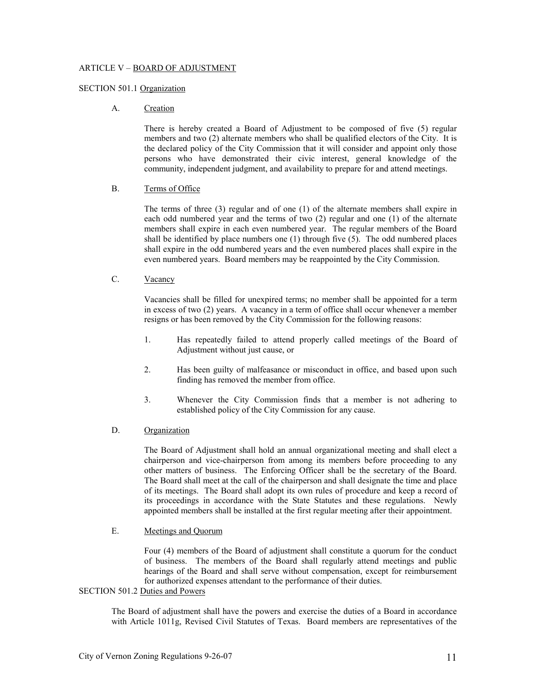# ARTICLE V – BOARD OF ADJUSTMENT

### SECTION 501.1 Organization

# A. Creation

 There is hereby created a Board of Adjustment to be composed of five (5) regular members and two (2) alternate members who shall be qualified electors of the City. It is the declared policy of the City Commission that it will consider and appoint only those persons who have demonstrated their civic interest, general knowledge of the community, independent judgment, and availability to prepare for and attend meetings.

### B. Terms of Office

 The terms of three (3) regular and of one (1) of the alternate members shall expire in each odd numbered year and the terms of two (2) regular and one (1) of the alternate members shall expire in each even numbered year. The regular members of the Board shall be identified by place numbers one  $(1)$  through five  $(5)$ . The odd numbered places shall expire in the odd numbered years and the even numbered places shall expire in the even numbered years. Board members may be reappointed by the City Commission.

# C. Vacancy

 Vacancies shall be filled for unexpired terms; no member shall be appointed for a term in excess of two (2) years. A vacancy in a term of office shall occur whenever a member resigns or has been removed by the City Commission for the following reasons:

- 1. Has repeatedly failed to attend properly called meetings of the Board of Adjustment without just cause, or
- 2. Has been guilty of malfeasance or misconduct in office, and based upon such finding has removed the member from office.
- 3. Whenever the City Commission finds that a member is not adhering to established policy of the City Commission for any cause.

### D. Organization

 The Board of Adjustment shall hold an annual organizational meeting and shall elect a chairperson and vice-chairperson from among its members before proceeding to any other matters of business. The Enforcing Officer shall be the secretary of the Board. The Board shall meet at the call of the chairperson and shall designate the time and place of its meetings. The Board shall adopt its own rules of procedure and keep a record of its proceedings in accordance with the State Statutes and these regulations. Newly appointed members shall be installed at the first regular meeting after their appointment.

### E. Meetings and Quorum

 Four (4) members of the Board of adjustment shall constitute a quorum for the conduct of business. The members of the Board shall regularly attend meetings and public hearings of the Board and shall serve without compensation, except for reimbursement for authorized expenses attendant to the performance of their duties.

# SECTION 501.2 Duties and Powers

 The Board of adjustment shall have the powers and exercise the duties of a Board in accordance with Article 1011g, Revised Civil Statutes of Texas. Board members are representatives of the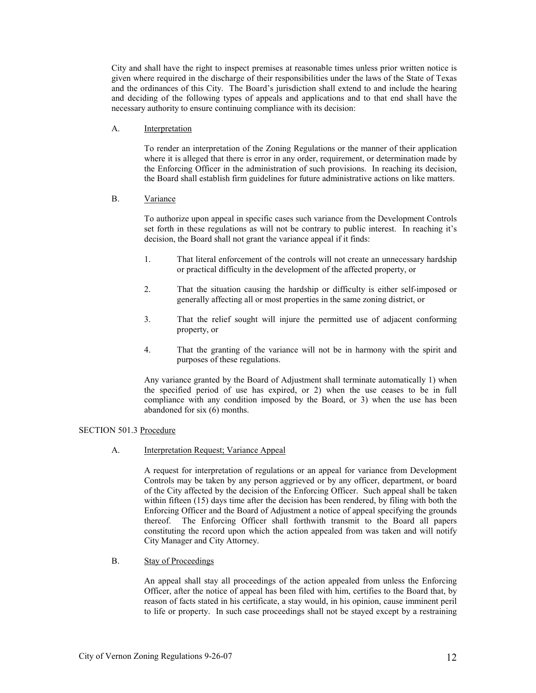City and shall have the right to inspect premises at reasonable times unless prior written notice is given where required in the discharge of their responsibilities under the laws of the State of Texas and the ordinances of this City. The Board's jurisdiction shall extend to and include the hearing and deciding of the following types of appeals and applications and to that end shall have the necessary authority to ensure continuing compliance with its decision:

### A. Interpretation

 To render an interpretation of the Zoning Regulations or the manner of their application where it is alleged that there is error in any order, requirement, or determination made by the Enforcing Officer in the administration of such provisions. In reaching its decision, the Board shall establish firm guidelines for future administrative actions on like matters.

# B. Variance

 To authorize upon appeal in specific cases such variance from the Development Controls set forth in these regulations as will not be contrary to public interest. In reaching it's decision, the Board shall not grant the variance appeal if it finds:

- 1. That literal enforcement of the controls will not create an unnecessary hardship or practical difficulty in the development of the affected property, or
- 2. That the situation causing the hardship or difficulty is either self-imposed or generally affecting all or most properties in the same zoning district, or
- 3. That the relief sought will injure the permitted use of adjacent conforming property, or
- 4. That the granting of the variance will not be in harmony with the spirit and purposes of these regulations.

Any variance granted by the Board of Adjustment shall terminate automatically 1) when the specified period of use has expired, or 2) when the use ceases to be in full compliance with any condition imposed by the Board, or 3) when the use has been abandoned for six (6) months.

# SECTION 501.3 Procedure

A. Interpretation Request; Variance Appeal

 A request for interpretation of regulations or an appeal for variance from Development Controls may be taken by any person aggrieved or by any officer, department, or board of the City affected by the decision of the Enforcing Officer. Such appeal shall be taken within fifteen (15) days time after the decision has been rendered, by filing with both the Enforcing Officer and the Board of Adjustment a notice of appeal specifying the grounds thereof. The Enforcing Officer shall forthwith transmit to the Board all papers constituting the record upon which the action appealed from was taken and will notify City Manager and City Attorney.

# B. Stay of Proceedings

 An appeal shall stay all proceedings of the action appealed from unless the Enforcing Officer, after the notice of appeal has been filed with him, certifies to the Board that, by reason of facts stated in his certificate, a stay would, in his opinion, cause imminent peril to life or property. In such case proceedings shall not be stayed except by a restraining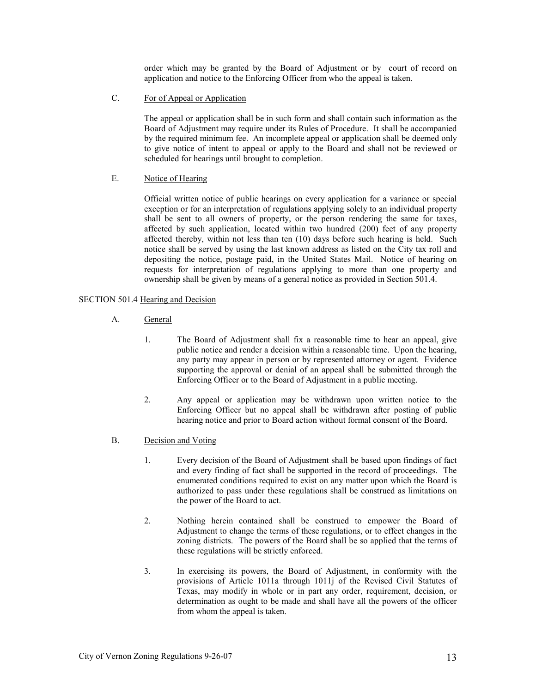order which may be granted by the Board of Adjustment or by court of record on application and notice to the Enforcing Officer from who the appeal is taken.

C. For of Appeal or Application

 The appeal or application shall be in such form and shall contain such information as the Board of Adjustment may require under its Rules of Procedure. It shall be accompanied by the required minimum fee. An incomplete appeal or application shall be deemed only to give notice of intent to appeal or apply to the Board and shall not be reviewed or scheduled for hearings until brought to completion.

### E. Notice of Hearing

 Official written notice of public hearings on every application for a variance or special exception or for an interpretation of regulations applying solely to an individual property shall be sent to all owners of property, or the person rendering the same for taxes, affected by such application, located within two hundred (200) feet of any property affected thereby, within not less than ten (10) days before such hearing is held. Such notice shall be served by using the last known address as listed on the City tax roll and depositing the notice, postage paid, in the United States Mail. Notice of hearing on requests for interpretation of regulations applying to more than one property and ownership shall be given by means of a general notice as provided in Section 501.4.

### SECTION 501.4 Hearing and Decision

- A. General
	- 1. The Board of Adjustment shall fix a reasonable time to hear an appeal, give public notice and render a decision within a reasonable time. Upon the hearing, any party may appear in person or by represented attorney or agent. Evidence supporting the approval or denial of an appeal shall be submitted through the Enforcing Officer or to the Board of Adjustment in a public meeting.
	- 2. Any appeal or application may be withdrawn upon written notice to the Enforcing Officer but no appeal shall be withdrawn after posting of public hearing notice and prior to Board action without formal consent of the Board.
- B. Decision and Voting
	- 1. Every decision of the Board of Adjustment shall be based upon findings of fact and every finding of fact shall be supported in the record of proceedings. The enumerated conditions required to exist on any matter upon which the Board is authorized to pass under these regulations shall be construed as limitations on the power of the Board to act.
	- 2. Nothing herein contained shall be construed to empower the Board of Adjustment to change the terms of these regulations, or to effect changes in the zoning districts. The powers of the Board shall be so applied that the terms of these regulations will be strictly enforced.
	- 3. In exercising its powers, the Board of Adjustment, in conformity with the provisions of Article 1011a through 1011j of the Revised Civil Statutes of Texas, may modify in whole or in part any order, requirement, decision, or determination as ought to be made and shall have all the powers of the officer from whom the appeal is taken.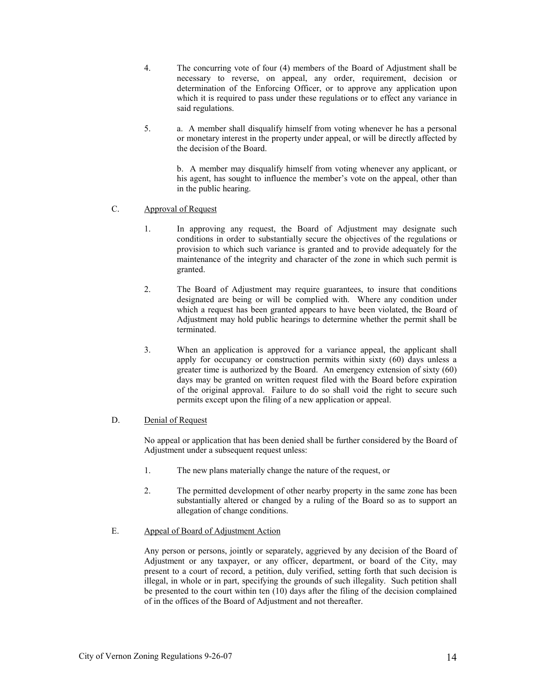4. The concurring vote of four (4) members of the Board of Adjustment shall be necessary to reverse, on appeal, any order, requirement, decision or determination of the Enforcing Officer, or to approve any application upon which it is required to pass under these regulations or to effect any variance in said regulations.

5. a. A member shall disqualify himself from voting whenever he has a personal or monetary interest in the property under appeal, or will be directly affected by the decision of the Board.

> b. A member may disqualify himself from voting whenever any applicant, or his agent, has sought to influence the member's vote on the appeal, other than in the public hearing.

# C. Approval of Request

- 1. In approving any request, the Board of Adjustment may designate such conditions in order to substantially secure the objectives of the regulations or provision to which such variance is granted and to provide adequately for the maintenance of the integrity and character of the zone in which such permit is granted.
- 2. The Board of Adjustment may require guarantees, to insure that conditions designated are being or will be complied with. Where any condition under which a request has been granted appears to have been violated, the Board of Adjustment may hold public hearings to determine whether the permit shall be terminated.
- 3. When an application is approved for a variance appeal, the applicant shall apply for occupancy or construction permits within sixty (60) days unless a greater time is authorized by the Board. An emergency extension of sixty (60) days may be granted on written request filed with the Board before expiration of the original approval. Failure to do so shall void the right to secure such permits except upon the filing of a new application or appeal.

# D. Denial of Request

No appeal or application that has been denied shall be further considered by the Board of Adjustment under a subsequent request unless:

- 1. The new plans materially change the nature of the request, or
- 2. The permitted development of other nearby property in the same zone has been substantially altered or changed by a ruling of the Board so as to support an allegation of change conditions.
- E. Appeal of Board of Adjustment Action

 Any person or persons, jointly or separately, aggrieved by any decision of the Board of Adjustment or any taxpayer, or any officer, department, or board of the City, may present to a court of record, a petition, duly verified, setting forth that such decision is illegal, in whole or in part, specifying the grounds of such illegality. Such petition shall be presented to the court within ten (10) days after the filing of the decision complained of in the offices of the Board of Adjustment and not thereafter.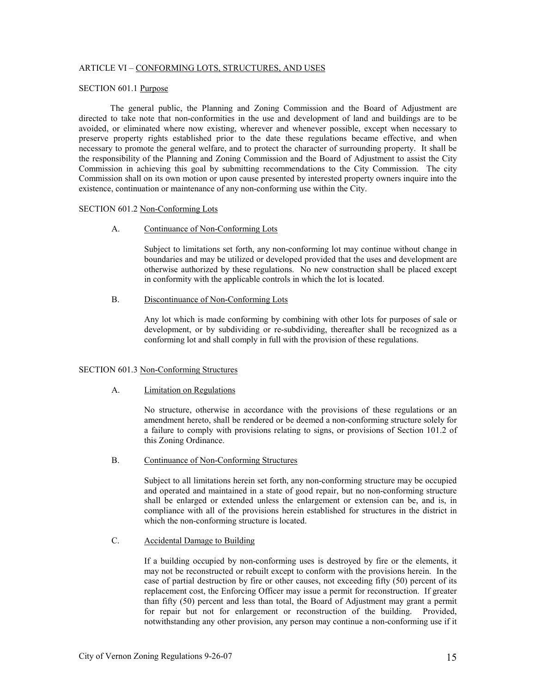### ARTICLE VI – CONFORMING LOTS, STRUCTURES, AND USES

# SECTION 601.1 Purpose

 The general public, the Planning and Zoning Commission and the Board of Adjustment are directed to take note that non-conformities in the use and development of land and buildings are to be avoided, or eliminated where now existing, wherever and whenever possible, except when necessary to preserve property rights established prior to the date these regulations became effective, and when necessary to promote the general welfare, and to protect the character of surrounding property. It shall be the responsibility of the Planning and Zoning Commission and the Board of Adjustment to assist the City Commission in achieving this goal by submitting recommendations to the City Commission. The city Commission shall on its own motion or upon cause presented by interested property owners inquire into the existence, continuation or maintenance of any non-conforming use within the City.

### SECTION 601.2 Non-Conforming Lots

A. Continuance of Non-Conforming Lots

 Subject to limitations set forth, any non-conforming lot may continue without change in boundaries and may be utilized or developed provided that the uses and development are otherwise authorized by these regulations. No new construction shall be placed except in conformity with the applicable controls in which the lot is located.

B. Discontinuance of Non-Conforming Lots

 Any lot which is made conforming by combining with other lots for purposes of sale or development, or by subdividing or re-subdividing, thereafter shall be recognized as a conforming lot and shall comply in full with the provision of these regulations.

### SECTION 601.3 Non-Conforming Structures

#### A. Limitation on Regulations

 No structure, otherwise in accordance with the provisions of these regulations or an amendment hereto, shall be rendered or be deemed a non-conforming structure solely for a failure to comply with provisions relating to signs, or provisions of Section 101.2 of this Zoning Ordinance.

### B. Continuance of Non-Conforming Structures

 Subject to all limitations herein set forth, any non-conforming structure may be occupied and operated and maintained in a state of good repair, but no non-conforming structure shall be enlarged or extended unless the enlargement or extension can be, and is, in compliance with all of the provisions herein established for structures in the district in which the non-conforming structure is located.

### C. Accidental Damage to Building

 If a building occupied by non-conforming uses is destroyed by fire or the elements, it may not be reconstructed or rebuilt except to conform with the provisions herein. In the case of partial destruction by fire or other causes, not exceeding fifty (50) percent of its replacement cost, the Enforcing Officer may issue a permit for reconstruction. If greater than fifty (50) percent and less than total, the Board of Adjustment may grant a permit for repair but not for enlargement or reconstruction of the building. Provided, notwithstanding any other provision, any person may continue a non-conforming use if it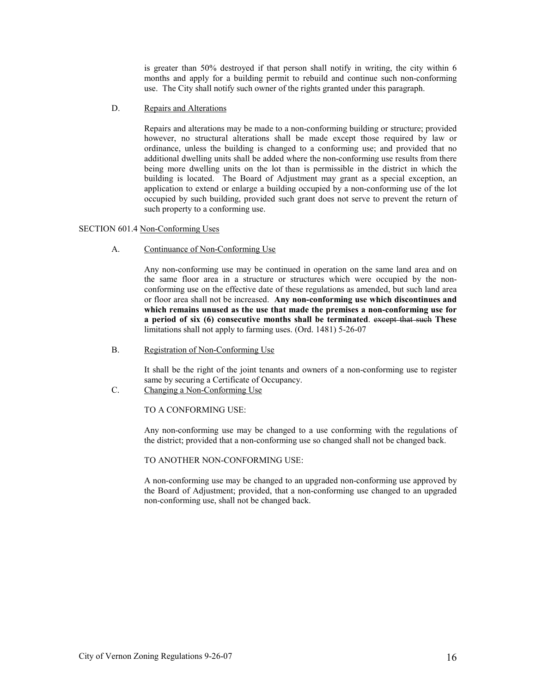is greater than 50% destroyed if that person shall notify in writing, the city within 6 months and apply for a building permit to rebuild and continue such non-conforming use. The City shall notify such owner of the rights granted under this paragraph.

D. Repairs and Alterations

 Repairs and alterations may be made to a non-conforming building or structure; provided however, no structural alterations shall be made except those required by law or ordinance, unless the building is changed to a conforming use; and provided that no additional dwelling units shall be added where the non-conforming use results from there being more dwelling units on the lot than is permissible in the district in which the building is located. The Board of Adjustment may grant as a special exception, an application to extend or enlarge a building occupied by a non-conforming use of the lot occupied by such building, provided such grant does not serve to prevent the return of such property to a conforming use.

# SECTION 601.4 Non-Conforming Uses

A. Continuance of Non-Conforming Use

 Any non-conforming use may be continued in operation on the same land area and on the same floor area in a structure or structures which were occupied by the nonconforming use on the effective date of these regulations as amended, but such land area or floor area shall not be increased. Any non-conforming use which discontinues and which remains unused as the use that made the premises a non-conforming use for a period of six (6) consecutive months shall be terminated. except that such These limitations shall not apply to farming uses. (Ord. 1481) 5-26-07

B. Registration of Non-Conforming Use

 It shall be the right of the joint tenants and owners of a non-conforming use to register same by securing a Certificate of Occupancy.

C. Changing a Non-Conforming Use

TO A CONFORMING USE:

 Any non-conforming use may be changed to a use conforming with the regulations of the district; provided that a non-conforming use so changed shall not be changed back.

TO ANOTHER NON-CONFORMING USE:

 A non-conforming use may be changed to an upgraded non-conforming use approved by the Board of Adjustment; provided, that a non-conforming use changed to an upgraded non-conforming use, shall not be changed back.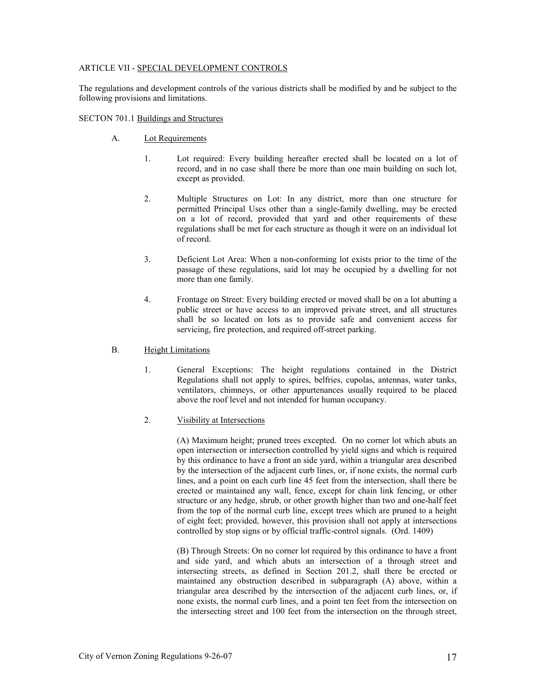# ARTICLE VII - SPECIAL DEVELOPMENT CONTROLS

The regulations and development controls of the various districts shall be modified by and be subject to the following provisions and limitations.

# SECTON 701.1 Buildings and Structures

- A. Lot Requirements
	- 1. Lot required: Every building hereafter erected shall be located on a lot of record, and in no case shall there be more than one main building on such lot, except as provided.
	- 2. Multiple Structures on Lot: In any district, more than one structure for permitted Principal Uses other than a single-family dwelling, may be erected on a lot of record, provided that yard and other requirements of these regulations shall be met for each structure as though it were on an individual lot of record.
	- 3. Deficient Lot Area: When a non-conforming lot exists prior to the time of the passage of these regulations, said lot may be occupied by a dwelling for not more than one family.
	- 4. Frontage on Street: Every building erected or moved shall be on a lot abutting a public street or have access to an improved private street, and all structures shall be so located on lots as to provide safe and convenient access for servicing, fire protection, and required off-street parking.
- B. Height Limitations
	- 1. General Exceptions: The height regulations contained in the District Regulations shall not apply to spires, belfries, cupolas, antennas, water tanks, ventilators, chimneys, or other appurtenances usually required to be placed above the roof level and not intended for human occupancy.

# 2. Visibility at Intersections

 (A) Maximum height; pruned trees excepted. On no corner lot which abuts an open intersection or intersection controlled by yield signs and which is required by this ordinance to have a front an side yard, within a triangular area described by the intersection of the adjacent curb lines, or, if none exists, the normal curb lines, and a point on each curb line 45 feet from the intersection, shall there be erected or maintained any wall, fence, except for chain link fencing, or other structure or any hedge, shrub, or other growth higher than two and one-half feet from the top of the normal curb line, except trees which are pruned to a height of eight feet; provided, however, this provision shall not apply at intersections controlled by stop signs or by official traffic-control signals. (Ord. 1409)

 (B) Through Streets: On no corner lot required by this ordinance to have a front and side yard, and which abuts an intersection of a through street and intersecting streets, as defined in Section 201.2, shall there be erected or maintained any obstruction described in subparagraph (A) above, within a triangular area described by the intersection of the adjacent curb lines, or, if none exists, the normal curb lines, and a point ten feet from the intersection on the intersecting street and 100 feet from the intersection on the through street,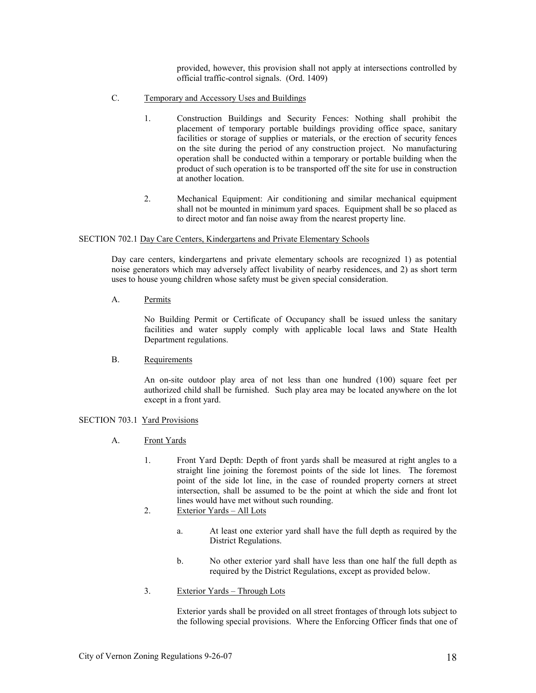provided, however, this provision shall not apply at intersections controlled by official traffic-control signals. (Ord. 1409)

- C. Temporary and Accessory Uses and Buildings
	- 1. Construction Buildings and Security Fences: Nothing shall prohibit the placement of temporary portable buildings providing office space, sanitary facilities or storage of supplies or materials, or the erection of security fences on the site during the period of any construction project. No manufacturing operation shall be conducted within a temporary or portable building when the product of such operation is to be transported off the site for use in construction at another location.
	- 2. Mechanical Equipment: Air conditioning and similar mechanical equipment shall not be mounted in minimum yard spaces. Equipment shall be so placed as to direct motor and fan noise away from the nearest property line.

### SECTION 702.1 Day Care Centers, Kindergartens and Private Elementary Schools

 Day care centers, kindergartens and private elementary schools are recognized 1) as potential noise generators which may adversely affect livability of nearby residences, and 2) as short term uses to house young children whose safety must be given special consideration.

A. Permits

 No Building Permit or Certificate of Occupancy shall be issued unless the sanitary facilities and water supply comply with applicable local laws and State Health Department regulations.

B. Requirements

 An on-site outdoor play area of not less than one hundred (100) square feet per authorized child shall be furnished. Such play area may be located anywhere on the lot except in a front yard.

# SECTION 703.1 Yard Provisions

- A. Front Yards
	- 1. Front Yard Depth: Depth of front yards shall be measured at right angles to a straight line joining the foremost points of the side lot lines. The foremost point of the side lot line, in the case of rounded property corners at street intersection, shall be assumed to be the point at which the side and front lot lines would have met without such rounding.
	- 2. Exterior Yards All Lots
		- a. At least one exterior yard shall have the full depth as required by the District Regulations.
		- b. No other exterior yard shall have less than one half the full depth as required by the District Regulations, except as provided below.
	- 3. Exterior Yards Through Lots

 Exterior yards shall be provided on all street frontages of through lots subject to the following special provisions. Where the Enforcing Officer finds that one of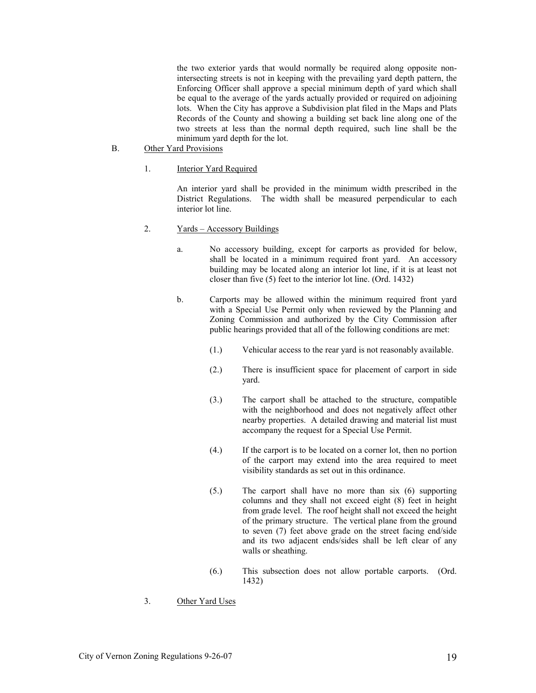the two exterior yards that would normally be required along opposite nonintersecting streets is not in keeping with the prevailing yard depth pattern, the Enforcing Officer shall approve a special minimum depth of yard which shall be equal to the average of the yards actually provided or required on adjoining lots. When the City has approve a Subdivision plat filed in the Maps and Plats Records of the County and showing a building set back line along one of the two streets at less than the normal depth required, such line shall be the minimum yard depth for the lot.

- B. Other Yard Provisions
	- 1. Interior Yard Required

 An interior yard shall be provided in the minimum width prescribed in the District Regulations. The width shall be measured perpendicular to each interior lot line.

- 2. Yards Accessory Buildings
	- a. No accessory building, except for carports as provided for below, shall be located in a minimum required front yard. An accessory building may be located along an interior lot line, if it is at least not closer than five (5) feet to the interior lot line. (Ord. 1432)
	- b. Carports may be allowed within the minimum required front yard with a Special Use Permit only when reviewed by the Planning and Zoning Commission and authorized by the City Commission after public hearings provided that all of the following conditions are met:
		- (1.) Vehicular access to the rear yard is not reasonably available.
		- (2.) There is insufficient space for placement of carport in side yard.
		- (3.) The carport shall be attached to the structure, compatible with the neighborhood and does not negatively affect other nearby properties. A detailed drawing and material list must accompany the request for a Special Use Permit.
		- (4.) If the carport is to be located on a corner lot, then no portion of the carport may extend into the area required to meet visibility standards as set out in this ordinance.
		- (5.) The carport shall have no more than six (6) supporting columns and they shall not exceed eight (8) feet in height from grade level. The roof height shall not exceed the height of the primary structure. The vertical plane from the ground to seven (7) feet above grade on the street facing end/side and its two adjacent ends/sides shall be left clear of any walls or sheathing.
		- (6.) This subsection does not allow portable carports. (Ord. 1432)
- 3. Other Yard Uses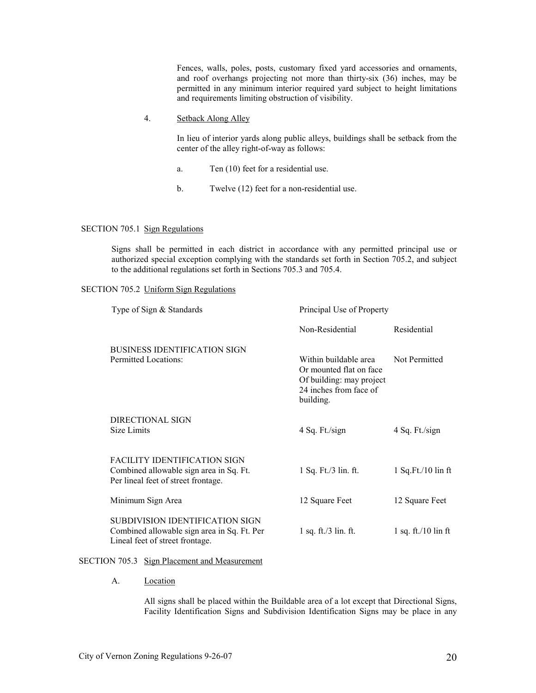Fences, walls, poles, posts, customary fixed yard accessories and ornaments, and roof overhangs projecting not more than thirty-six (36) inches, may be permitted in any minimum interior required yard subject to height limitations and requirements limiting obstruction of visibility.

4. Setback Along Alley

 In lieu of interior yards along public alleys, buildings shall be setback from the center of the alley right-of-way as follows:

- a. Ten (10) feet for a residential use.
- b. Twelve (12) feet for a non-residential use.

#### SECTION 705.1 Sign Regulations

 Signs shall be permitted in each district in accordance with any permitted principal use or authorized special exception complying with the standards set forth in Section 705.2, and subject to the additional regulations set forth in Sections 705.3 and 705.4.

# SECTION 705.2 Uniform Sign Regulations

| Type of Sign & Standards                                                                                              | Principal Use of Property                                                                                           |                                   |
|-----------------------------------------------------------------------------------------------------------------------|---------------------------------------------------------------------------------------------------------------------|-----------------------------------|
|                                                                                                                       | Non-Residential                                                                                                     | Residential                       |
| <b>BUSINESS IDENTIFICATION SIGN</b><br>Permitted Locations:                                                           | Within buildable area<br>Or mounted flat on face<br>Of building: may project<br>24 inches from face of<br>building. | Not Permitted                     |
| DIRECTIONAL SIGN<br>Size Limits                                                                                       | 4 Sq. Ft./sign                                                                                                      | 4 Sq. Ft./sign                    |
| <b>FACILITY IDENTIFICATION SIGN</b><br>Combined allowable sign area in Sq. Ft.<br>Per lineal feet of street frontage. | 1 Sq. Ft./3 lin. ft.                                                                                                | $1$ Sq. Ft./ $10$ lin ft          |
| Minimum Sign Area                                                                                                     | 12 Square Feet                                                                                                      | 12 Square Feet                    |
| SUBDIVISION IDENTIFICATION SIGN<br>Combined allowable sign area in Sq. Ft. Per<br>Lineal feet of street frontage.     | $1$ sq. ft./ $3$ lin. ft.                                                                                           | $1$ sq. ft./ $10 \text{ lin }$ ft |

### SECTION 705.3 Sign Placement and Measurement

A. Location

 All signs shall be placed within the Buildable area of a lot except that Directional Signs, Facility Identification Signs and Subdivision Identification Signs may be place in any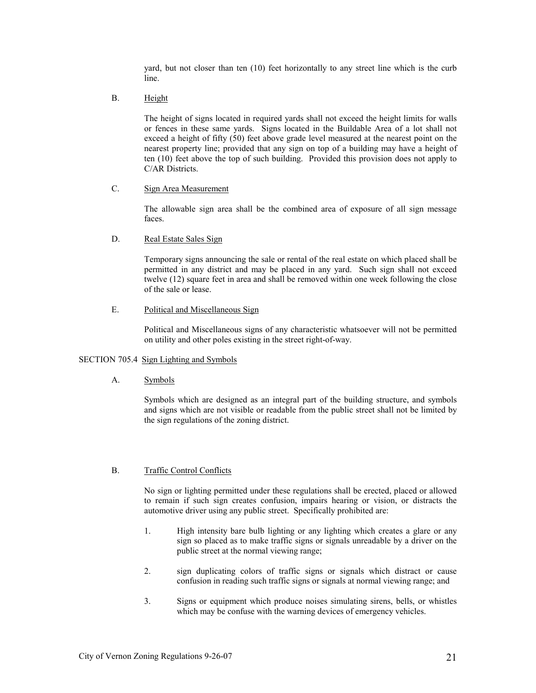yard, but not closer than ten (10) feet horizontally to any street line which is the curb line.

B. Height

 The height of signs located in required yards shall not exceed the height limits for walls or fences in these same yards. Signs located in the Buildable Area of a lot shall not exceed a height of fifty (50) feet above grade level measured at the nearest point on the nearest property line; provided that any sign on top of a building may have a height of ten (10) feet above the top of such building. Provided this provision does not apply to C/AR Districts.

# C. Sign Area Measurement

 The allowable sign area shall be the combined area of exposure of all sign message faces.

#### D. Real Estate Sales Sign

 Temporary signs announcing the sale or rental of the real estate on which placed shall be permitted in any district and may be placed in any yard. Such sign shall not exceed twelve (12) square feet in area and shall be removed within one week following the close of the sale or lease.

# E. Political and Miscellaneous Sign

 Political and Miscellaneous signs of any characteristic whatsoever will not be permitted on utility and other poles existing in the street right-of-way.

# SECTION 705.4 Sign Lighting and Symbols

A. Symbols

 Symbols which are designed as an integral part of the building structure, and symbols and signs which are not visible or readable from the public street shall not be limited by the sign regulations of the zoning district.

#### B. Traffic Control Conflicts

 No sign or lighting permitted under these regulations shall be erected, placed or allowed to remain if such sign creates confusion, impairs hearing or vision, or distracts the automotive driver using any public street. Specifically prohibited are:

- 1. High intensity bare bulb lighting or any lighting which creates a glare or any sign so placed as to make traffic signs or signals unreadable by a driver on the public street at the normal viewing range;
- 2. sign duplicating colors of traffic signs or signals which distract or cause confusion in reading such traffic signs or signals at normal viewing range; and
- 3. Signs or equipment which produce noises simulating sirens, bells, or whistles which may be confuse with the warning devices of emergency vehicles.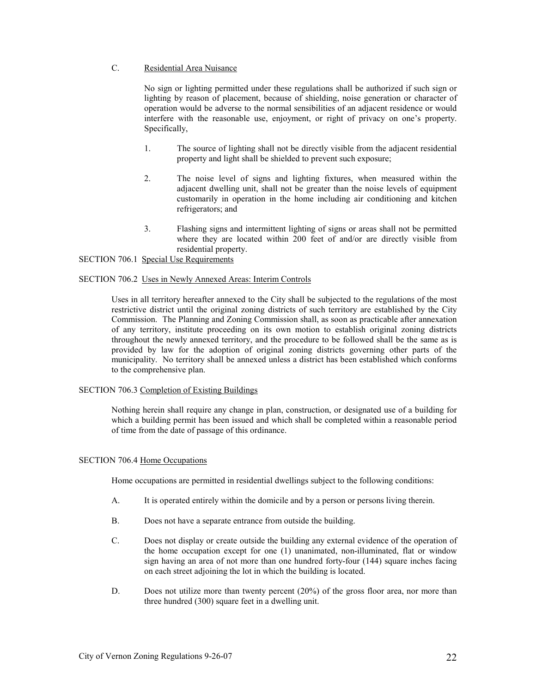# C. Residential Area Nuisance

 No sign or lighting permitted under these regulations shall be authorized if such sign or lighting by reason of placement, because of shielding, noise generation or character of operation would be adverse to the normal sensibilities of an adjacent residence or would interfere with the reasonable use, enjoyment, or right of privacy on one's property. Specifically,

- 1. The source of lighting shall not be directly visible from the adjacent residential property and light shall be shielded to prevent such exposure;
- 2. The noise level of signs and lighting fixtures, when measured within the adjacent dwelling unit, shall not be greater than the noise levels of equipment customarily in operation in the home including air conditioning and kitchen refrigerators; and
- 3. Flashing signs and intermittent lighting of signs or areas shall not be permitted where they are located within 200 feet of and/or are directly visible from residential property.

SECTION 706.1 Special Use Requirements

# SECTION 706.2 Uses in Newly Annexed Areas: Interim Controls

 Uses in all territory hereafter annexed to the City shall be subjected to the regulations of the most restrictive district until the original zoning districts of such territory are established by the City Commission. The Planning and Zoning Commission shall, as soon as practicable after annexation of any territory, institute proceeding on its own motion to establish original zoning districts throughout the newly annexed territory, and the procedure to be followed shall be the same as is provided by law for the adoption of original zoning districts governing other parts of the municipality. No territory shall be annexed unless a district has been established which conforms to the comprehensive plan.

### SECTION 706.3 Completion of Existing Buildings

 Nothing herein shall require any change in plan, construction, or designated use of a building for which a building permit has been issued and which shall be completed within a reasonable period of time from the date of passage of this ordinance.

### SECTION 706.4 Home Occupations

Home occupations are permitted in residential dwellings subject to the following conditions:

- A. It is operated entirely within the domicile and by a person or persons living therein.
- B. Does not have a separate entrance from outside the building.
- C. Does not display or create outside the building any external evidence of the operation of the home occupation except for one (1) unanimated, non-illuminated, flat or window sign having an area of not more than one hundred forty-four (144) square inches facing on each street adjoining the lot in which the building is located.
- D. Does not utilize more than twenty percent (20%) of the gross floor area, nor more than three hundred (300) square feet in a dwelling unit.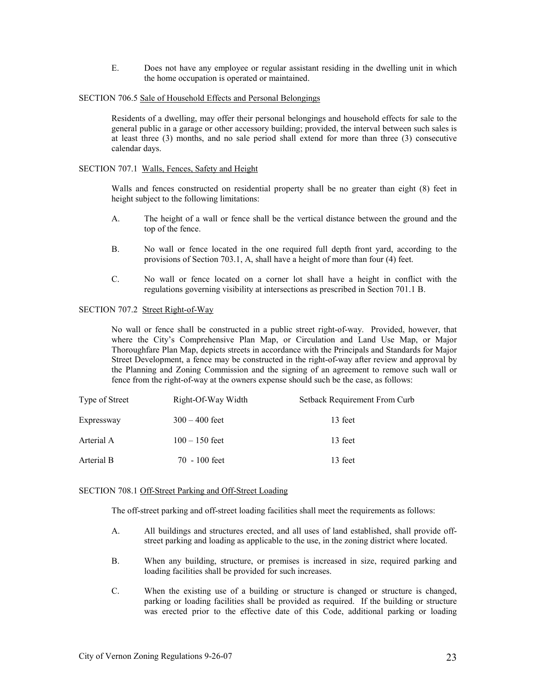E. Does not have any employee or regular assistant residing in the dwelling unit in which the home occupation is operated or maintained.

### SECTION 706.5 Sale of Household Effects and Personal Belongings

 Residents of a dwelling, may offer their personal belongings and household effects for sale to the general public in a garage or other accessory building; provided, the interval between such sales is at least three (3) months, and no sale period shall extend for more than three (3) consecutive calendar days.

### SECTION 707.1 Walls, Fences, Safety and Height

 Walls and fences constructed on residential property shall be no greater than eight (8) feet in height subject to the following limitations:

- A. The height of a wall or fence shall be the vertical distance between the ground and the top of the fence.
- B. No wall or fence located in the one required full depth front yard, according to the provisions of Section 703.1, A, shall have a height of more than four (4) feet.
- C. No wall or fence located on a corner lot shall have a height in conflict with the regulations governing visibility at intersections as prescribed in Section 701.1 B.

# SECTION 707.2 Street Right-of-Way

 No wall or fence shall be constructed in a public street right-of-way. Provided, however, that where the City's Comprehensive Plan Map, or Circulation and Land Use Map, or Major Thoroughfare Plan Map, depicts streets in accordance with the Principals and Standards for Major Street Development, a fence may be constructed in the right-of-way after review and approval by the Planning and Zoning Commission and the signing of an agreement to remove such wall or fence from the right-of-way at the owners expense should such be the case, as follows:

| Type of Street | Right-Of-Way Width | Setback Requirement From Curb |
|----------------|--------------------|-------------------------------|
| Expressway     | $300 - 400$ feet   | 13 feet                       |
| Arterial A     | $100 - 150$ feet   | 13 feet                       |
| Arterial B     | $70 - 100$ feet    | 13 feet                       |

### SECTION 708.1 Off-Street Parking and Off-Street Loading

The off-street parking and off-street loading facilities shall meet the requirements as follows:

- A. All buildings and structures erected, and all uses of land established, shall provide offstreet parking and loading as applicable to the use, in the zoning district where located.
- B. When any building, structure, or premises is increased in size, required parking and loading facilities shall be provided for such increases.
- C. When the existing use of a building or structure is changed or structure is changed, parking or loading facilities shall be provided as required. If the building or structure was erected prior to the effective date of this Code, additional parking or loading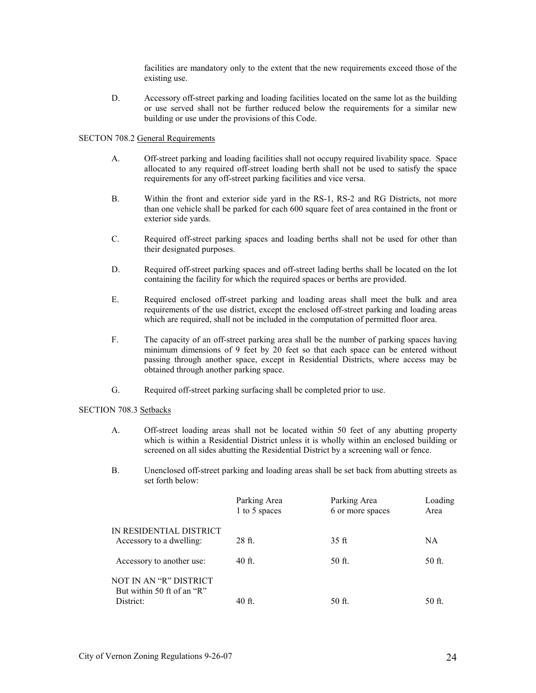facilities are mandatory only to the extent that the new requirements exceed those of the existing use.

D. Accessory off-street parking and loading facilities located on the same lot as the building or use served shall not be further reduced below the requirements for a similar new building or use under the provisions of this Code.

# SECTON 708.2 General Requirements

- A. Off-street parking and loading facilities shall not occupy required livability space. Space allocated to any required off-street loading berth shall not be used to satisfy the space requirements for any off-street parking facilities and vice versa.
- B. Within the front and exterior side yard in the RS-1, RS-2 and RG Districts, not more than one vehicle shall be parked for each 600 square feet of area contained in the front or exterior side yards.
- C. Required off-street parking spaces and loading berths shall not be used for other than their designated purposes.
- D. Required off-street parking spaces and off-street lading berths shall be located on the lot containing the facility for which the required spaces or berths are provided.
- E. Required enclosed off-street parking and loading areas shall meet the bulk and area requirements of the use district, except the enclosed off-street parking and loading areas which are required, shall not be included in the computation of permitted floor area.
- F. The capacity of an off-street parking area shall be the number of parking spaces having minimum dimensions of 9 feet by 20 feet so that each space can be entered without passing through another space, except in Residential Districts, where access may be obtained through another parking space.
- G. Required off-street parking surfacing shall be completed prior to use.

# SECTION 708.3 Setbacks

- A. Off-street loading areas shall not be located within 50 feet of any abutting property which is within a Residential District unless it is wholly within an enclosed building or screened on all sides abutting the Residential District by a screening wall or fence.
- B. Unenclosed off-street parking and loading areas shall be set back from abutting streets as set forth below:

|                                                                   | Parking Area<br>1 to 5 spaces | Parking Area<br>6 or more spaces | Loading<br>Area |
|-------------------------------------------------------------------|-------------------------------|----------------------------------|-----------------|
| IN RESIDENTIAL DISTRICT<br>Accessory to a dwelling:               | 28 ft.                        | 35 <sub>ft</sub>                 | NA              |
| Accessory to another use:                                         | 40 ft.                        | 50 ft.                           | 50 ft.          |
| NOT IN AN "R" DISTRICT<br>But within 50 ft of an "R"<br>District: | $40$ ft.                      | 50 ft.                           | 50 ft.          |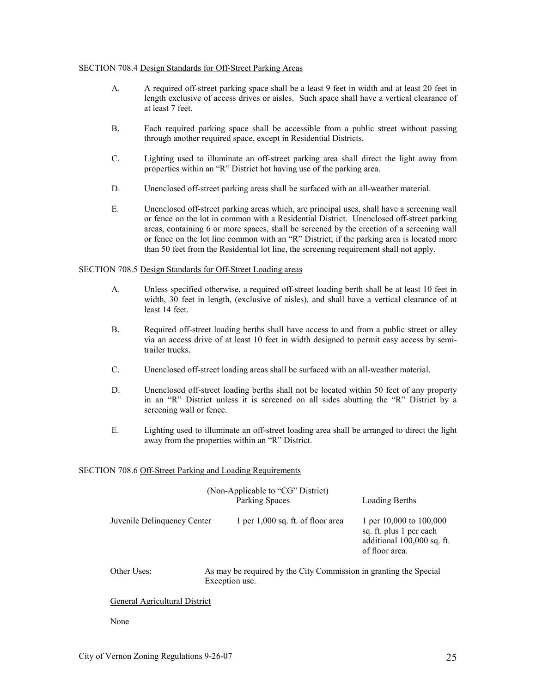### SECTION 708.4 Design Standards for Off-Street Parking Areas

- A. A required off-street parking space shall be a least 9 feet in width and at least 20 feet in length exclusive of access drives or aisles. Such space shall have a vertical clearance of at least 7 feet.
- B. Each required parking space shall be accessible from a public street without passing through another required space, except in Residential Districts.
- C. Lighting used to illuminate an off-street parking area shall direct the light away from properties within an "R" District hot having use of the parking area.
- D. Unenclosed off-street parking areas shall be surfaced with an all-weather material.
- E. Unenclosed off-street parking areas which, are principal uses, shall have a screening wall or fence on the lot in common with a Residential District. Unenclosed off-street parking areas, containing 6 or more spaces, shall be screened by the erection of a screening wall or fence on the lot line common with an "R" District; if the parking area is located more than 50 feet from the Residential lot line, the screening requirement shall not apply.

# SECTION 708.5 Design Standards for Off-Street Loading areas

- A. Unless specified otherwise, a required off-street loading berth shall be at least 10 feet in width, 30 feet in length, (exclusive of aisles), and shall have a vertical clearance of at least 14 feet.
- B. Required off-street loading berths shall have access to and from a public street or alley via an access drive of at least 10 feet in width designed to permit easy access by semitrailer trucks.
- C. Unenclosed off-street loading areas shall be surfaced with an all-weather material.
- D. Unenclosed off-street loading berths shall not be located within 50 feet of any property in an "R" District unless it is screened on all sides abutting the "R" District by a screening wall or fence.
- E. Lighting used to illuminate an off-street loading area shall be arranged to direct the light away from the properties within an "R" District.

### SECTION 708.6 Off-Street Parking and Loading Requirements

|                             | (Non-Applicable to "CG" District)<br>Parking Spaces                                 | Loading Berths                                                                                     |
|-----------------------------|-------------------------------------------------------------------------------------|----------------------------------------------------------------------------------------------------|
| Juvenile Delinquency Center | 1 per 1,000 sq. ft. of floor area                                                   | 1 per 10,000 to 100,000<br>sq. ft. plus 1 per each<br>additional 100,000 sq. ft.<br>of floor area. |
| Other Uses:                 | As may be required by the City Commission in granting the Special<br>Exception use. |                                                                                                    |
| . <b>. .</b>                |                                                                                     |                                                                                                    |

# General Agricultural District

None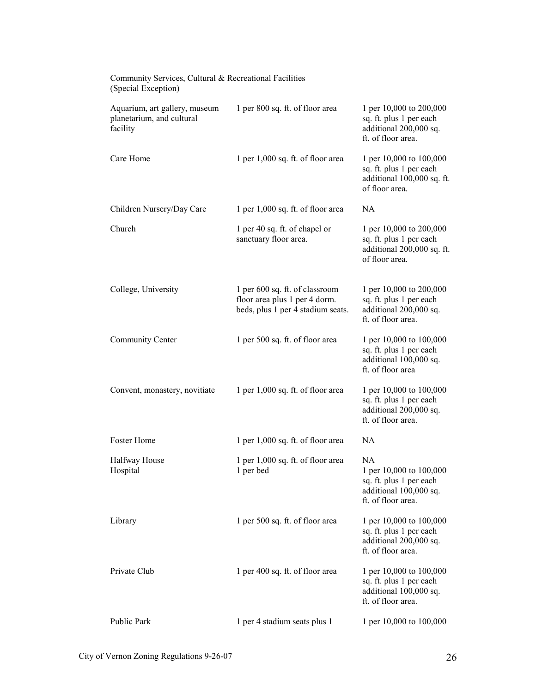| <u>Community Services, Cultural &amp; Recreational Factifies</u><br>(Special Exception) |                                                                                                      |                                                                                                                 |
|-----------------------------------------------------------------------------------------|------------------------------------------------------------------------------------------------------|-----------------------------------------------------------------------------------------------------------------|
| Aquarium, art gallery, museum<br>planetarium, and cultural<br>facility                  | 1 per 800 sq. ft. of floor area                                                                      | 1 per 10,000 to 200,000<br>sq. ft. plus 1 per each<br>additional 200,000 sq.<br>ft. of floor area.              |
| Care Home                                                                               | 1 per 1,000 sq. ft. of floor area                                                                    | 1 per 10,000 to 100,000<br>sq. ft. plus 1 per each<br>additional 100,000 sq. ft.<br>of floor area.              |
| Children Nursery/Day Care                                                               | 1 per 1,000 sq. ft. of floor area                                                                    | <b>NA</b>                                                                                                       |
| Church                                                                                  | 1 per 40 sq. ft. of chapel or<br>sanctuary floor area.                                               | 1 per 10,000 to 200,000<br>sq. ft. plus 1 per each<br>additional 200,000 sq. ft.<br>of floor area.              |
| College, University                                                                     | 1 per 600 sq. ft. of classroom<br>floor area plus 1 per 4 dorm.<br>beds, plus 1 per 4 stadium seats. | 1 per 10,000 to 200,000<br>sq. ft. plus 1 per each<br>additional 200,000 sq.<br>ft. of floor area.              |
| <b>Community Center</b>                                                                 | 1 per 500 sq. ft. of floor area                                                                      | 1 per 10,000 to 100,000<br>sq. ft. plus 1 per each<br>additional 100,000 sq.<br>ft. of floor area               |
| Convent, monastery, novitiate                                                           | 1 per 1,000 sq. ft. of floor area                                                                    | 1 per 10,000 to 100,000<br>sq. ft. plus 1 per each<br>additional 200,000 sq.<br>ft. of floor area.              |
| Foster Home                                                                             | 1 per 1,000 sq. ft. of floor area                                                                    | <b>NA</b>                                                                                                       |
| Halfway House<br>Hospital                                                               | 1 per 1,000 sq. ft. of floor area<br>1 per bed                                                       | <b>NA</b><br>1 per 10,000 to 100,000<br>sq. ft. plus 1 per each<br>additional 100,000 sq.<br>ft. of floor area. |
| Library                                                                                 | 1 per 500 sq. ft. of floor area                                                                      | 1 per 10,000 to 100,000<br>sq. ft. plus 1 per each<br>additional 200,000 sq.<br>ft. of floor area.              |
| Private Club                                                                            | 1 per 400 sq. ft. of floor area                                                                      | 1 per 10,000 to 100,000<br>sq. ft. plus 1 per each<br>additional 100,000 sq.<br>ft. of floor area.              |
| Public Park                                                                             | 1 per 4 stadium seats plus 1                                                                         | 1 per 10,000 to 100,000                                                                                         |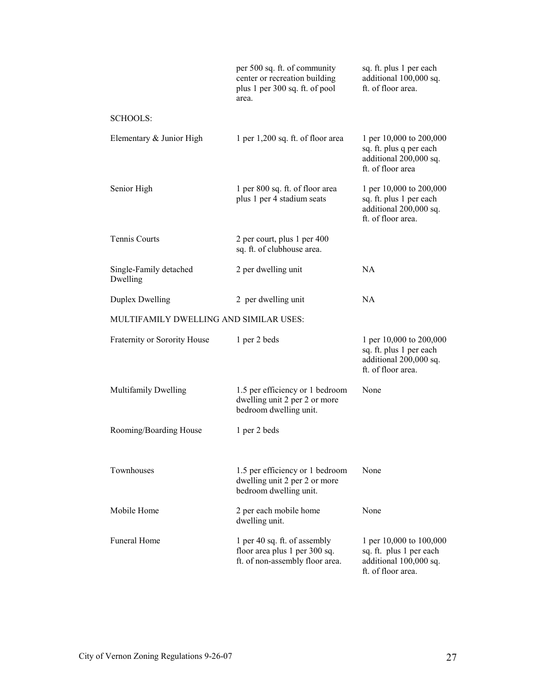|                                        | per 500 sq. ft. of community<br>center or recreation building<br>plus 1 per 300 sq. ft. of pool<br>area. | sq. ft. plus 1 per each<br>additional 100,000 sq.<br>ft. of floor area.                            |
|----------------------------------------|----------------------------------------------------------------------------------------------------------|----------------------------------------------------------------------------------------------------|
| <b>SCHOOLS:</b>                        |                                                                                                          |                                                                                                    |
| Elementary & Junior High               | 1 per 1,200 sq. ft. of floor area                                                                        | 1 per 10,000 to 200,000<br>sq. ft. plus q per each<br>additional 200,000 sq.<br>ft. of floor area  |
| Senior High                            | 1 per 800 sq. ft. of floor area<br>plus 1 per 4 stadium seats                                            | 1 per 10,000 to 200,000<br>sq. ft. plus 1 per each<br>additional 200,000 sq.<br>ft. of floor area. |
| <b>Tennis Courts</b>                   | 2 per court, plus 1 per 400<br>sq. ft. of clubhouse area.                                                |                                                                                                    |
| Single-Family detached<br>Dwelling     | 2 per dwelling unit                                                                                      | <b>NA</b>                                                                                          |
| <b>Duplex Dwelling</b>                 | 2 per dwelling unit                                                                                      | <b>NA</b>                                                                                          |
| MULTIFAMILY DWELLING AND SIMILAR USES: |                                                                                                          |                                                                                                    |
| Fraternity or Sorority House           | 1 per 2 beds                                                                                             | 1 per 10,000 to 200,000<br>sq. ft. plus 1 per each<br>additional 200,000 sq.<br>ft. of floor area. |
| Multifamily Dwelling                   | 1.5 per efficiency or 1 bedroom<br>dwelling unit 2 per 2 or more<br>bedroom dwelling unit.               | None                                                                                               |
| Rooming/Boarding House                 | 1 per 2 beds                                                                                             |                                                                                                    |
| Townhouses                             | 1.5 per efficiency or 1 bedroom<br>dwelling unit 2 per 2 or more<br>bedroom dwelling unit.               | None                                                                                               |
| Mobile Home                            | 2 per each mobile home<br>dwelling unit.                                                                 | None                                                                                               |
| <b>Funeral Home</b>                    | 1 per 40 sq. ft. of assembly<br>floor area plus 1 per 300 sq.<br>ft. of non-assembly floor area.         | 1 per 10,000 to 100,000<br>sq. ft. plus 1 per each<br>additional 100,000 sq.<br>ft. of floor area. |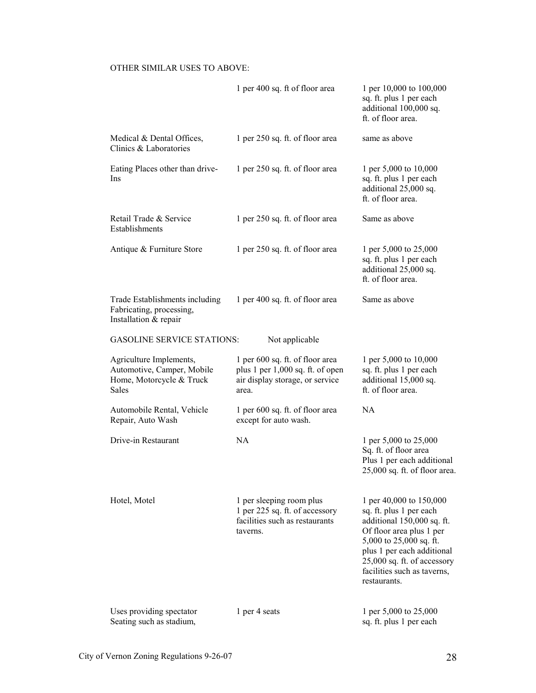# OTHER SIMILAR USES TO ABOVE:

|                                                                                            | 1 per 400 sq. ft of floor area                                                                                  | 1 per 10,000 to 100,000<br>sq. ft. plus 1 per each<br>additional 100,000 sq.<br>ft. of floor area.                                                                                                                                                  |
|--------------------------------------------------------------------------------------------|-----------------------------------------------------------------------------------------------------------------|-----------------------------------------------------------------------------------------------------------------------------------------------------------------------------------------------------------------------------------------------------|
| Medical & Dental Offices,<br>Clinics & Laboratories                                        | 1 per 250 sq. ft. of floor area                                                                                 | same as above                                                                                                                                                                                                                                       |
| Eating Places other than drive-<br>Ins                                                     | 1 per 250 sq. ft. of floor area                                                                                 | 1 per 5,000 to 10,000<br>sq. ft. plus 1 per each<br>additional 25,000 sq.<br>ft. of floor area.                                                                                                                                                     |
| Retail Trade & Service<br>Establishments                                                   | 1 per 250 sq. ft. of floor area                                                                                 | Same as above                                                                                                                                                                                                                                       |
| Antique & Furniture Store                                                                  | 1 per 250 sq. ft. of floor area                                                                                 | 1 per 5,000 to 25,000<br>sq. ft. plus 1 per each<br>additional 25,000 sq.<br>ft. of floor area.                                                                                                                                                     |
| Trade Establishments including<br>Fabricating, processing,<br>Installation & repair        | 1 per 400 sq. ft. of floor area                                                                                 | Same as above                                                                                                                                                                                                                                       |
| <b>GASOLINE SERVICE STATIONS:</b>                                                          | Not applicable                                                                                                  |                                                                                                                                                                                                                                                     |
| Agriculture Implements,<br>Automotive, Camper, Mobile<br>Home, Motorcycle & Truck<br>Sales | 1 per 600 sq. ft. of floor area<br>plus 1 per 1,000 sq. ft. of open<br>air display storage, or service<br>area. | 1 per 5,000 to 10,000<br>sq. ft. plus 1 per each<br>additional 15,000 sq.<br>ft. of floor area.                                                                                                                                                     |
| Automobile Rental, Vehicle<br>Repair, Auto Wash                                            | 1 per 600 sq. ft. of floor area<br>except for auto wash.                                                        | <b>NA</b>                                                                                                                                                                                                                                           |
| Drive-in Restaurant                                                                        | <b>NA</b>                                                                                                       | 1 per 5,000 to 25,000<br>Sq. ft. of floor area<br>Plus 1 per each additional<br>25,000 sq. ft. of floor area.                                                                                                                                       |
| Hotel, Motel                                                                               | 1 per sleeping room plus<br>1 per 225 sq. ft. of accessory<br>facilities such as restaurants<br>taverns.        | 1 per 40,000 to 150,000<br>sq. ft. plus 1 per each<br>additional 150,000 sq. ft.<br>Of floor area plus 1 per<br>5,000 to 25,000 sq. ft.<br>plus 1 per each additional<br>25,000 sq. ft. of accessory<br>facilities such as taverns,<br>restaurants. |
| Uses providing spectator<br>Seating such as stadium,                                       | 1 per 4 seats                                                                                                   | 1 per 5,000 to 25,000<br>sq. ft. plus 1 per each                                                                                                                                                                                                    |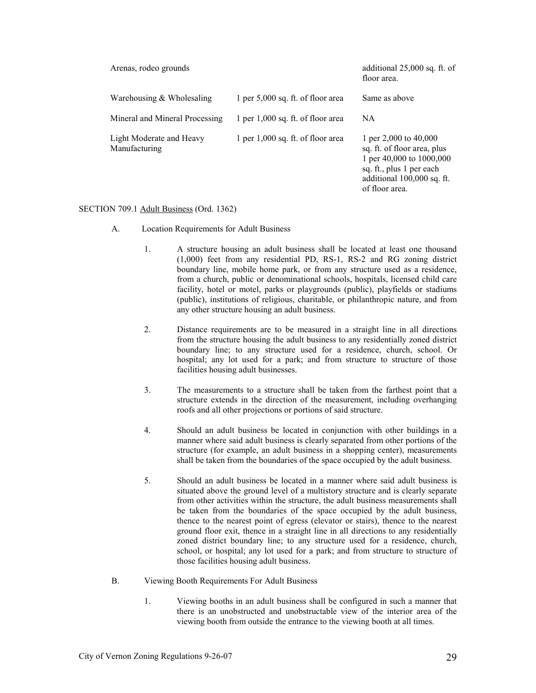| Arenas, rodeo grounds                     |                                     | additional $25,000$ sq. ft. of<br>floor area.                                                                                                                  |
|-------------------------------------------|-------------------------------------|----------------------------------------------------------------------------------------------------------------------------------------------------------------|
| Warehousing $&$ Wholesaling               | 1 per $5,000$ sq. ft. of floor area | Same as above                                                                                                                                                  |
| Mineral and Mineral Processing            | 1 per 1,000 sq. ft. of floor area   | <b>NA</b>                                                                                                                                                      |
| Light Moderate and Heavy<br>Manufacturing | 1 per 1,000 sq. ft. of floor area   | 1 per 2,000 to $40,000$<br>sq. ft. of floor area, plus<br>1 per 40,000 to 1000,000<br>sq. ft., plus 1 per each<br>additional 100,000 sq. ft.<br>of floor area. |

# SECTION 709.1 Adult Business (Ord. 1362)

- A. Location Requirements for Adult Business
	- 1. A structure housing an adult business shall be located at least one thousand (1,000) feet from any residential PD, RS-1, RS-2 and RG zoning district boundary line, mobile home park, or from any structure used as a residence, from a church, public or denominational schools, hospitals, licensed child care facility, hotel or motel, parks or playgrounds (public), playfields or stadiums (public), institutions of religious, charitable, or philanthropic nature, and from any other structure housing an adult business.
	- 2. Distance requirements are to be measured in a straight line in all directions from the structure housing the adult business to any residentially zoned district boundary line; to any structure used for a residence, church, school. Or hospital; any lot used for a park; and from structure to structure of those facilities housing adult businesses.
	- 3. The measurements to a structure shall be taken from the farthest point that a structure extends in the direction of the measurement, including overhanging roofs and all other projections or portions of said structure.
	- 4. Should an adult business be located in conjunction with other buildings in a manner where said adult business is clearly separated from other portions of the structure (for example, an adult business in a shopping center), measurements shall be taken from the boundaries of the space occupied by the adult business.
	- 5. Should an adult business be located in a manner where said adult business is situated above the ground level of a multistory structure and is clearly separate from other activities within the structure, the adult business measurements shall be taken from the boundaries of the space occupied by the adult business, thence to the nearest point of egress (elevator or stairs), thence to the nearest ground floor exit, thence in a straight line in all directions to any residentially zoned district boundary line; to any structure used for a residence, church, school, or hospital; any lot used for a park; and from structure to structure of those facilities housing adult business.
- B. Viewing Booth Requirements For Adult Business
	- 1. Viewing booths in an adult business shall be configured in such a manner that there is an unobstructed and unobstructable view of the interior area of the viewing booth from outside the entrance to the viewing booth at all times.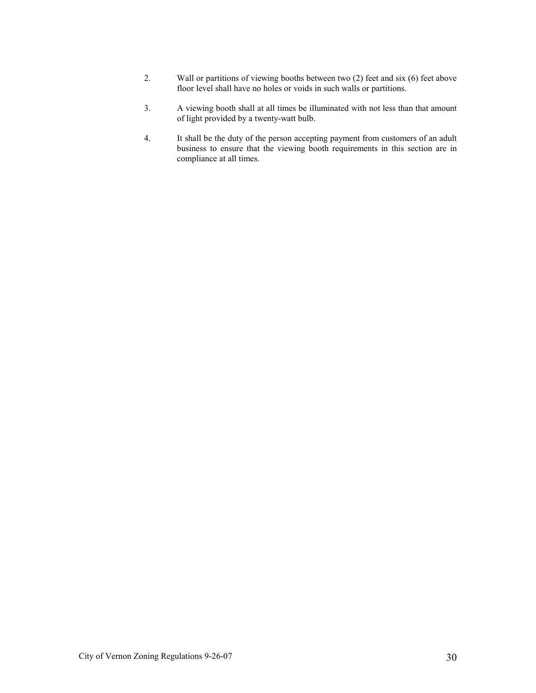- 2. Wall or partitions of viewing booths between two (2) feet and six (6) feet above floor level shall have no holes or voids in such walls or partitions.
- 3. A viewing booth shall at all times be illuminated with not less than that amount of light provided by a twenty-watt bulb.
- 4. It shall be the duty of the person accepting payment from customers of an adult business to ensure that the viewing booth requirements in this section are in compliance at all times.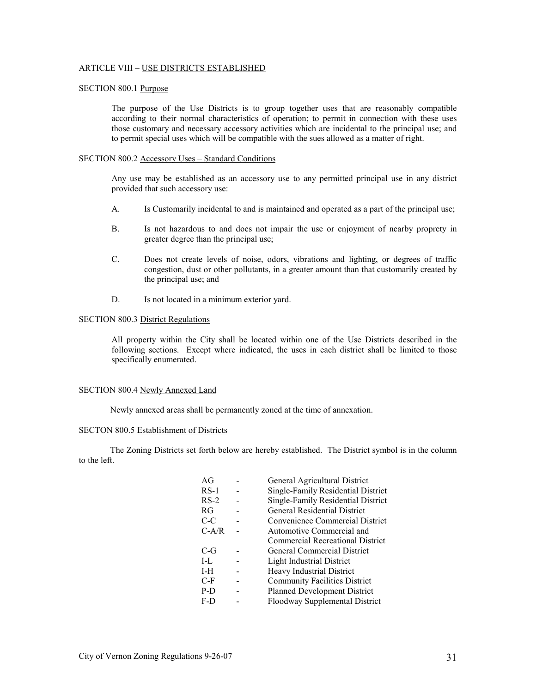### ARTICLE VIII – USE DISTRICTS ESTABLISHED

# SECTION 800.1 Purpose

 The purpose of the Use Districts is to group together uses that are reasonably compatible according to their normal characteristics of operation; to permit in connection with these uses those customary and necessary accessory activities which are incidental to the principal use; and to permit special uses which will be compatible with the sues allowed as a matter of right.

# SECTION 800.2 Accessory Uses – Standard Conditions

 Any use may be established as an accessory use to any permitted principal use in any district provided that such accessory use:

- A. Is Customarily incidental to and is maintained and operated as a part of the principal use;
- B. Is not hazardous to and does not impair the use or enjoyment of nearby proprety in greater degree than the principal use;
- C. Does not create levels of noise, odors, vibrations and lighting, or degrees of traffic congestion, dust or other pollutants, in a greater amount than that customarily created by the principal use; and
- D. Is not located in a minimum exterior yard.

# SECTION 800.3 District Regulations

 All property within the City shall be located within one of the Use Districts described in the following sections. Except where indicated, the uses in each district shall be limited to those specifically enumerated.

### SECTION 800.4 Newly Annexed Land

Newly annexed areas shall be permanently zoned at the time of annexation.

#### SECTON 800.5 Establishment of Districts

 The Zoning Districts set forth below are hereby established. The District symbol is in the column to the left.

| AG      | General Agricultural District           |
|---------|-----------------------------------------|
| $RS-1$  | Single-Family Residential District      |
| $RS-2$  | Single-Family Residential District      |
| RG      | <b>General Residential District</b>     |
| C-C     | Convenience Commercial District         |
| $C-A/R$ | Automotive Commercial and               |
|         | <b>Commercial Recreational District</b> |
| C-G     | <b>General Commercial District</b>      |
| $I-I$   | <b>Light Industrial District</b>        |
| I-H     | Heavy Industrial District               |
| $C-F$   | <b>Community Facilities District</b>    |
| $P-D$   | <b>Planned Development District</b>     |
| F-D     | Floodway Supplemental District          |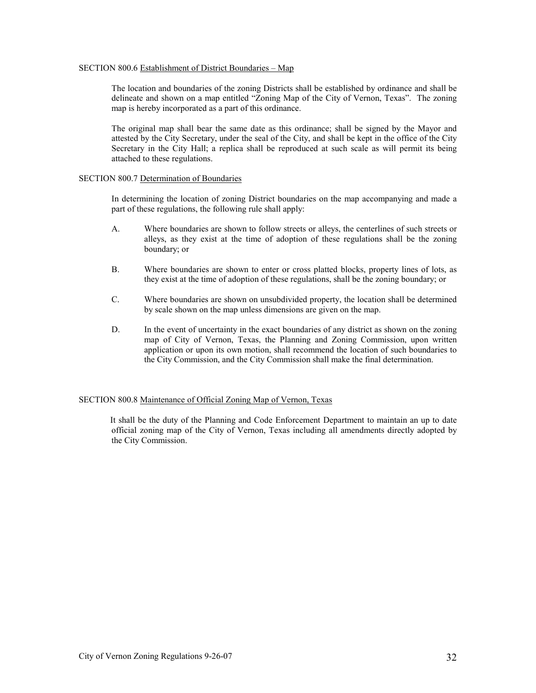### SECTION 800.6 Establishment of District Boundaries – Map

 The location and boundaries of the zoning Districts shall be established by ordinance and shall be delineate and shown on a map entitled "Zoning Map of the City of Vernon, Texas". The zoning map is hereby incorporated as a part of this ordinance.

 The original map shall bear the same date as this ordinance; shall be signed by the Mayor and attested by the City Secretary, under the seal of the City, and shall be kept in the office of the City Secretary in the City Hall; a replica shall be reproduced at such scale as will permit its being attached to these regulations.

# SECTION 800.7 Determination of Boundaries

 In determining the location of zoning District boundaries on the map accompanying and made a part of these regulations, the following rule shall apply:

- A. Where boundaries are shown to follow streets or alleys, the centerlines of such streets or alleys, as they exist at the time of adoption of these regulations shall be the zoning boundary; or
- B. Where boundaries are shown to enter or cross platted blocks, property lines of lots, as they exist at the time of adoption of these regulations, shall be the zoning boundary; or
- C. Where boundaries are shown on unsubdivided property, the location shall be determined by scale shown on the map unless dimensions are given on the map.
- D. In the event of uncertainty in the exact boundaries of any district as shown on the zoning map of City of Vernon, Texas, the Planning and Zoning Commission, upon written application or upon its own motion, shall recommend the location of such boundaries to the City Commission, and the City Commission shall make the final determination.

# SECTION 800.8 Maintenance of Official Zoning Map of Vernon, Texas

It shall be the duty of the Planning and Code Enforcement Department to maintain an up to date official zoning map of the City of Vernon, Texas including all amendments directly adopted by the City Commission.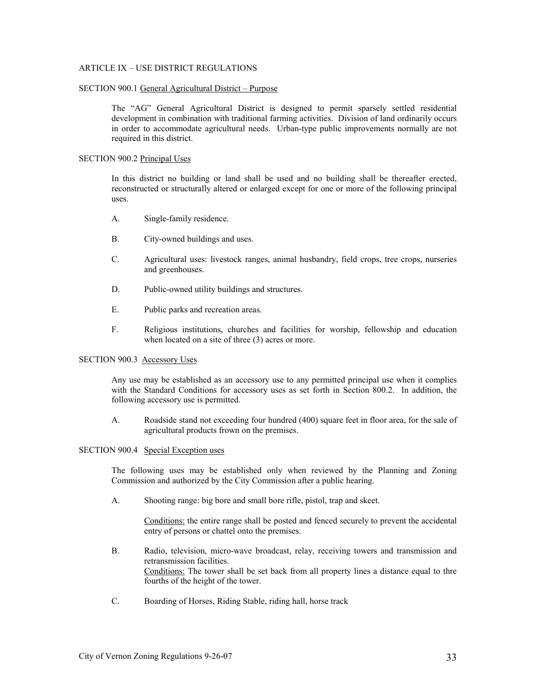# ARTICLE IX – USE DISTRICT REGULATIONS

#### SECTION 900.1 General Agricultural District – Purpose

 The "AG" General Agricultural District is designed to permit sparsely settled residential development in combination with traditional farming activities. Division of land ordinarily occurs in order to accommodate agricultural needs. Urban-type public improvements normally are not required in this district.

### SECTION 900.2 Principal Uses

 In this district no building or land shall be used and no building shall be thereafter erected, reconstructed or structurally altered or enlarged except for one or more of the following principal uses.

- A. Single-family residence.
- B. City-owned buildings and uses.
- C. Agricultural uses: livestock ranges, animal husbandry, field crops, tree crops, nurseries and greenhouses.
- D. Public-owned utility buildings and structures.
- E. Public parks and recreation areas.
- F. Religious institutions, churches and facilities for worship, fellowship and education when located on a site of three  $(3)$  acres or more.

### SECTION 900.3 Accessory Uses

 Any use may be established as an accessory use to any permitted principal use when it complies with the Standard Conditions for accessory uses as set forth in Section 800.2. In addition, the following accessory use is permitted.

A. Roadside stand not exceeding four hundred (400) square feet in floor area, for the sale of agricultural products frown on the premises.

#### SECTION 900.4 Special Exception uses

 The following uses may be established only when reviewed by the Planning and Zoning Commission and authorized by the City Commission after a public hearing.

A. Shooting range: big bore and small bore rifle, pistol, trap and skeet.

 Conditions: the entire range shall be posted and fenced securely to prevent the accidental entry of persons or chattel onto the premises.

- B. Radio, television, micro-wave broadcast, relay, receiving towers and transmission and retransmission facilities. Conditions: The tower shall be set back from all property lines a distance equal to thre fourths of the height of the tower.
- C. Boarding of Horses, Riding Stable, riding hall, horse track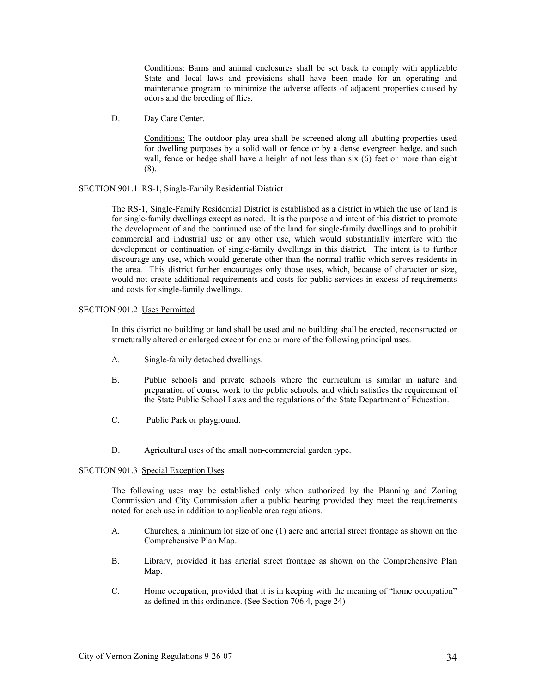Conditions: Barns and animal enclosures shall be set back to comply with applicable State and local laws and provisions shall have been made for an operating and maintenance program to minimize the adverse affects of adjacent properties caused by odors and the breeding of flies.

D. Day Care Center.

 Conditions: The outdoor play area shall be screened along all abutting properties used for dwelling purposes by a solid wall or fence or by a dense evergreen hedge, and such wall, fence or hedge shall have a height of not less than six (6) feet or more than eight (8).

# SECTION 901.1 RS-1, Single-Family Residential District

 The RS-1, Single-Family Residential District is established as a district in which the use of land is for single-family dwellings except as noted. It is the purpose and intent of this district to promote the development of and the continued use of the land for single-family dwellings and to prohibit commercial and industrial use or any other use, which would substantially interfere with the development or continuation of single-family dwellings in this district. The intent is to further discourage any use, which would generate other than the normal traffic which serves residents in the area. This district further encourages only those uses, which, because of character or size, would not create additional requirements and costs for public services in excess of requirements and costs for single-family dwellings.

# SECTION 901.2 Uses Permitted

 In this district no building or land shall be used and no building shall be erected, reconstructed or structurally altered or enlarged except for one or more of the following principal uses.

- A. Single-family detached dwellings.
- B. Public schools and private schools where the curriculum is similar in nature and preparation of course work to the public schools, and which satisfies the requirement of the State Public School Laws and the regulations of the State Department of Education.
- C. Public Park or playground.
- D. Agricultural uses of the small non-commercial garden type.

### SECTION 901.3 Special Exception Uses

 The following uses may be established only when authorized by the Planning and Zoning Commission and City Commission after a public hearing provided they meet the requirements noted for each use in addition to applicable area regulations.

- A. Churches, a minimum lot size of one (1) acre and arterial street frontage as shown on the Comprehensive Plan Map.
- B. Library, provided it has arterial street frontage as shown on the Comprehensive Plan Map.
- C. Home occupation, provided that it is in keeping with the meaning of "home occupation" as defined in this ordinance. (See Section 706.4, page 24)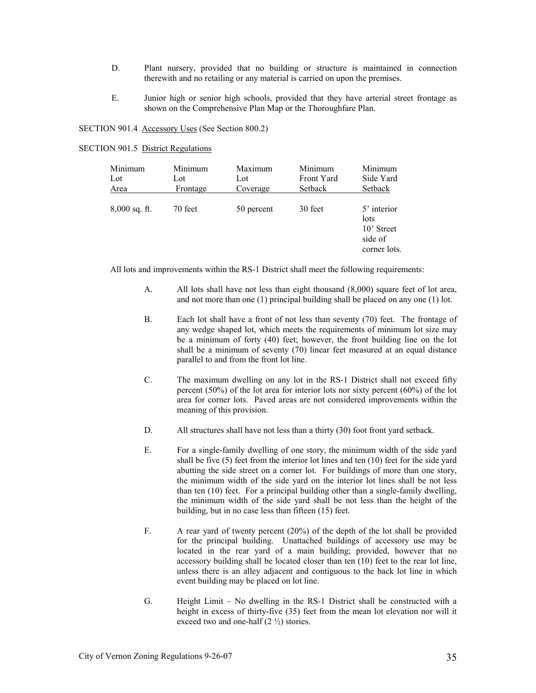- D. Plant nursery, provided that no building or structure is maintained in connection therewith and no retailing or any material is carried on upon the premises.
- E. Junior high or senior high schools, provided that they have arterial street frontage as shown on the Comprehensive Plan Map or the Thoroughfare Plan.

SECTION 901.4 Accessory Uses (See Section 800.2)

| <b>SECTION 901.5 District Regulations</b> |
|-------------------------------------------|
|                                           |

| Minimum         | Minimum  | Maximum    | Minimum    | Minimum                                                      |
|-----------------|----------|------------|------------|--------------------------------------------------------------|
| Lot             | Lot      | Lot        | Front Yard | Side Yard                                                    |
| Area            | Frontage | Coverage   | Setback    | Setback                                                      |
| $8,000$ sq. ft. | 70 feet  | 50 percent | 30 feet    | 5' interior<br>lots<br>10' Street<br>side of<br>corner lots. |

All lots and improvements within the RS-1 District shall meet the following requirements:

- A. All lots shall have not less than eight thousand (8,000) square feet of lot area, and not more than one (1) principal building shall be placed on any one (1) lot.
- B. Each lot shall have a front of not less than seventy (70) feet. The frontage of any wedge shaped lot, which meets the requirements of minimum lot size may be a minimum of forty (40) feet; however, the front building line on the lot shall be a minimum of seventy (70) linear feet measured at an equal distance parallel to and from the front lot line.
- C. The maximum dwelling on any lot in the RS-1 District shall not exceed fifty percent (50%) of the lot area for interior lots nor sixty percent (60%) of the lot area for corner lots. Paved areas are not considered improvements within the meaning of this provision.
- D. All structures shall have not less than a thirty (30) foot front yard setback.
- E. For a single-family dwelling of one story, the minimum width of the side yard shall be five (5) feet from the interior lot lines and ten (10) feet for the side yard abutting the side street on a corner lot. For buildings of more than one story, the minimum width of the side yard on the interior lot lines shall be not less than ten (10) feet. For a principal building other than a single-family dwelling, the minimum width of the side yard shall be not less than the height of the building, but in no case less than fifteen (15) feet.
- F. A rear yard of twenty percent (20%) of the depth of the lot shall be provided for the principal building. Unattached buildings of accessory use may be located in the rear yard of a main building; provided, however that no accessory building shall be located closer than ten (10) feet to the rear lot line, unless there is an alley adjacent and contiguous to the back lot line in which event building may be placed on lot line.
- G. Height Limit No dwelling in the RS-1 District shall be constructed with a height in excess of thirty-five (35) feet from the mean lot elevation nor will it exceed two and one-half  $(2 \frac{1}{2})$  stories.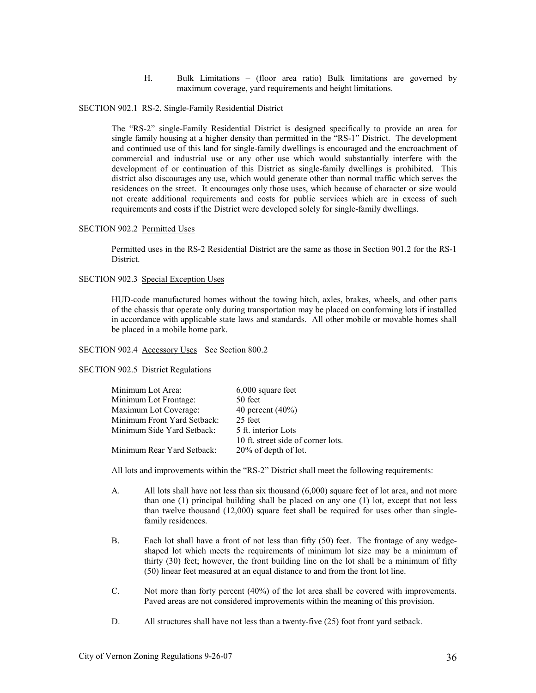H. Bulk Limitations – (floor area ratio) Bulk limitations are governed by maximum coverage, yard requirements and height limitations.

#### SECTION 902.1 RS-2, Single-Family Residential District

 The "RS-2" single-Family Residential District is designed specifically to provide an area for single family housing at a higher density than permitted in the "RS-1" District. The development and continued use of this land for single-family dwellings is encouraged and the encroachment of commercial and industrial use or any other use which would substantially interfere with the development of or continuation of this District as single-family dwellings is prohibited. This district also discourages any use, which would generate other than normal traffic which serves the residences on the street. It encourages only those uses, which because of character or size would not create additional requirements and costs for public services which are in excess of such requirements and costs if the District were developed solely for single-family dwellings.

### SECTION 902.2 Permitted Uses

 Permitted uses in the RS-2 Residential District are the same as those in Section 901.2 for the RS-1 District.

# SECTION 902.3 Special Exception Uses

 HUD-code manufactured homes without the towing hitch, axles, brakes, wheels, and other parts of the chassis that operate only during transportation may be placed on conforming lots if installed in accordance with applicable state laws and standards. All other mobile or movable homes shall be placed in a mobile home park.

# SECTION 902.4 Accessory Uses See Section 800.2

### SECTION 902.5 District Regulations

| Minimum Lot Area:           | $6,000$ square feet                |
|-----------------------------|------------------------------------|
| Minimum Lot Frontage:       | 50 feet                            |
| Maximum Lot Coverage:       | 40 percent $(40\%)$                |
| Minimum Front Yard Setback: | 25 feet                            |
| Minimum Side Yard Setback:  | 5 ft. interior Lots                |
|                             | 10 ft. street side of corner lots. |
| Minimum Rear Yard Setback:  | 20% of depth of lot.               |
|                             |                                    |

All lots and improvements within the "RS-2" District shall meet the following requirements:

- A. All lots shall have not less than six thousand (6,000) square feet of lot area, and not more than one (1) principal building shall be placed on any one (1) lot, except that not less than twelve thousand (12,000) square feet shall be required for uses other than singlefamily residences.
- B. Each lot shall have a front of not less than fifty (50) feet. The frontage of any wedgeshaped lot which meets the requirements of minimum lot size may be a minimum of thirty (30) feet; however, the front building line on the lot shall be a minimum of fifty (50) linear feet measured at an equal distance to and from the front lot line.
- C. Not more than forty percent (40%) of the lot area shall be covered with improvements. Paved areas are not considered improvements within the meaning of this provision.
- D. All structures shall have not less than a twenty-five (25) foot front yard setback.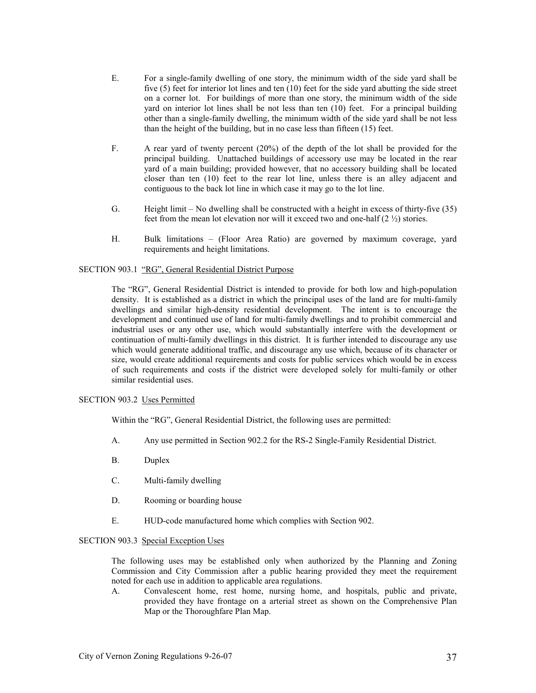- E. For a single-family dwelling of one story, the minimum width of the side yard shall be five (5) feet for interior lot lines and ten (10) feet for the side yard abutting the side street on a corner lot. For buildings of more than one story, the minimum width of the side yard on interior lot lines shall be not less than ten (10) feet. For a principal building other than a single-family dwelling, the minimum width of the side yard shall be not less than the height of the building, but in no case less than fifteen (15) feet.
- F. A rear yard of twenty percent (20%) of the depth of the lot shall be provided for the principal building. Unattached buildings of accessory use may be located in the rear yard of a main building; provided however, that no accessory building shall be located closer than ten (10) feet to the rear lot line, unless there is an alley adjacent and contiguous to the back lot line in which case it may go to the lot line.
- G. Height limit No dwelling shall be constructed with a height in excess of thirty-five (35) feet from the mean lot elevation nor will it exceed two and one-half  $(2 \frac{1}{2})$  stories.
- H. Bulk limitations (Floor Area Ratio) are governed by maximum coverage, yard requirements and height limitations.

### SECTION 903.1 "RG", General Residential District Purpose

 The "RG", General Residential District is intended to provide for both low and high-population density. It is established as a district in which the principal uses of the land are for multi-family dwellings and similar high-density residential development. The intent is to encourage the development and continued use of land for multi-family dwellings and to prohibit commercial and industrial uses or any other use, which would substantially interfere with the development or continuation of multi-family dwellings in this district. It is further intended to discourage any use which would generate additional traffic, and discourage any use which, because of its character or size, would create additional requirements and costs for public services which would be in excess of such requirements and costs if the district were developed solely for multi-family or other similar residential uses.

### SECTION 903.2 Uses Permitted

Within the "RG", General Residential District, the following uses are permitted:

- A. Any use permitted in Section 902.2 for the RS-2 Single-Family Residential District.
- B. Duplex
- C. Multi-family dwelling
- D. Rooming or boarding house
- E. HUD-code manufactured home which complies with Section 902.

### SECTION 903.3 Special Exception Uses

 The following uses may be established only when authorized by the Planning and Zoning Commission and City Commission after a public hearing provided they meet the requirement noted for each use in addition to applicable area regulations.

A. Convalescent home, rest home, nursing home, and hospitals, public and private, provided they have frontage on a arterial street as shown on the Comprehensive Plan Map or the Thoroughfare Plan Map.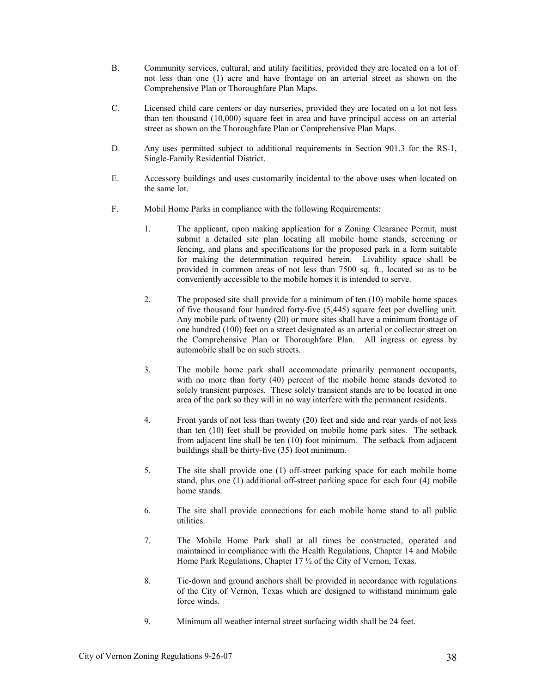- B. Community services, cultural, and utility facilities, provided they are located on a lot of not less than one (1) acre and have frontage on an arterial street as shown on the Comprehensive Plan or Thoroughfare Plan Maps.
- C. Licensed child care centers or day nurseries, provided they are located on a lot not less than ten thousand (10,000) square feet in area and have principal access on an arterial street as shown on the Thoroughfare Plan or Comprehensive Plan Maps.
- D. Any uses permitted subject to additional requirements in Section 901.3 for the RS-1, Single-Family Residential District.
- E. Accessory buildings and uses customarily incidental to the above uses when located on the same lot.
- F. Mobil Home Parks in compliance with the following Requirements:
	- 1. The applicant, upon making application for a Zoning Clearance Permit, must submit a detailed site plan locating all mobile home stands, screening or fencing, and plans and specifications for the proposed park in a form suitable for making the determination required herein. Livability space shall be provided in common areas of not less than 7500 sq. ft., located so as to be conveniently accessible to the mobile homes it is intended to serve.
	- 2. The proposed site shall provide for a minimum of ten (10) mobile home spaces of five thousand four hundred forty-five (5,445) square feet per dwelling unit. Any mobile park of twenty (20) or more sites shall have a minimum frontage of one hundred (100) feet on a street designated as an arterial or collector street on the Comprehensive Plan or Thoroughfare Plan. All ingress or egress by automobile shall be on such streets.
	- 3. The mobile home park shall accommodate primarily permanent occupants, with no more than forty (40) percent of the mobile home stands devoted to solely transient purposes. These solely transient stands are to be located in one area of the park so they will in no way interfere with the permanent residents.
	- 4. Front yards of not less than twenty (20) feet and side and rear yards of not less than ten (10) feet shall be provided on mobile home park sites. The setback from adjacent line shall be ten (10) foot minimum. The setback from adjacent buildings shall be thirty-five (35) foot minimum.
	- 5. The site shall provide one (1) off-street parking space for each mobile home stand, plus one (1) additional off-street parking space for each four (4) mobile home stands.
	- 6. The site shall provide connections for each mobile home stand to all public utilities.
	- 7. The Mobile Home Park shall at all times be constructed, operated and maintained in compliance with the Health Regulations, Chapter 14 and Mobile Home Park Regulations, Chapter 17 ½ of the City of Vernon, Texas.
	- 8. Tie-down and ground anchors shall be provided in accordance with regulations of the City of Vernon, Texas which are designed to withstand minimum gale force winds.
	- 9. Minimum all weather internal street surfacing width shall be 24 feet.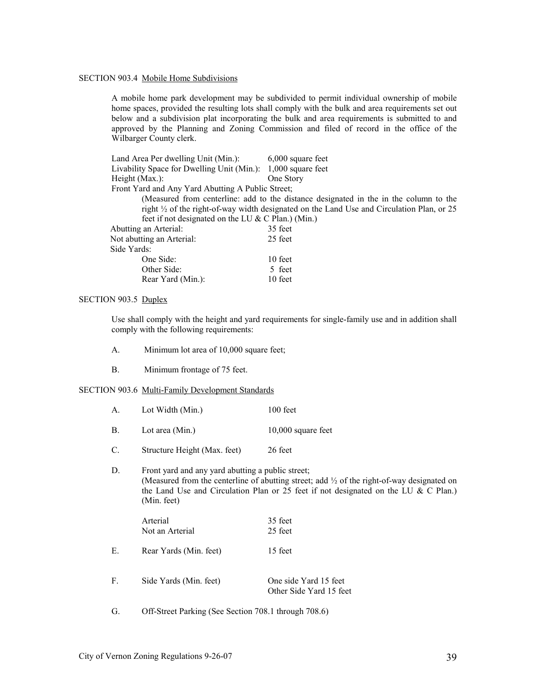### SECTION 903.4 Mobile Home Subdivisions

 A mobile home park development may be subdivided to permit individual ownership of mobile home spaces, provided the resulting lots shall comply with the bulk and area requirements set out below and a subdivision plat incorporating the bulk and area requirements is submitted to and approved by the Planning and Zoning Commission and filed of record in the office of the Wilbarger County clerk.

| Land Area Per dwelling Unit (Min.):                          | $6,000$ square feet                                                                                  |  |  |  |  |
|--------------------------------------------------------------|------------------------------------------------------------------------------------------------------|--|--|--|--|
| Livability Space for Dwelling Unit (Min.): 1,000 square feet |                                                                                                      |  |  |  |  |
| Height $(Max.)$ :                                            | One Story                                                                                            |  |  |  |  |
| Front Yard and Any Yard Abutting A Public Street;            |                                                                                                      |  |  |  |  |
|                                                              | (Measured from centerline: add to the distance designated in the in the column to the                |  |  |  |  |
|                                                              | right $\frac{1}{2}$ of the right-of-way width designated on the Land Use and Circulation Plan, or 25 |  |  |  |  |
|                                                              | feet if not designated on the LU $& C$ Plan.) (Min.)                                                 |  |  |  |  |
| Abutting an Arterial:                                        | 35 feet                                                                                              |  |  |  |  |
| Not abutting an Arterial:                                    | 25 feet                                                                                              |  |  |  |  |
| Side Yards:                                                  |                                                                                                      |  |  |  |  |
| One Side:                                                    | 10 feet                                                                                              |  |  |  |  |
| Other Side:                                                  | 5 feet                                                                                               |  |  |  |  |
| Rear Yard (Min.):                                            | 10 feet                                                                                              |  |  |  |  |

### SECTION 903.5 Duplex

 Use shall comply with the height and yard requirements for single-family use and in addition shall comply with the following requirements:

- A. Minimum lot area of 10,000 square feet;
- B. Minimum frontage of 75 feet.

### SECTION 903.6 Multi-Family Development Standards

- A. Lot Width (Min.) 100 feet
- B. Lot area (Min.) 10,000 square feet
- C. Structure Height (Max. feet) 26 feet

# D. Front yard and any yard abutting a public street; (Measured from the centerline of abutting street; add ½ of the right-of-way designated on the Land Use and Circulation Plan or 25 feet if not designated on the LU & C Plan.) (Min. feet)

|    | Arterial<br>Not an Arterial | 35 feet<br>25 feet                               |
|----|-----------------------------|--------------------------------------------------|
| E. | Rear Yards (Min. feet)      | 15 feet                                          |
| F. | Side Yards (Min. feet)      | One side Yard 15 feet<br>Other Side Yard 15 feet |

G. Off-Street Parking (See Section 708.1 through 708.6)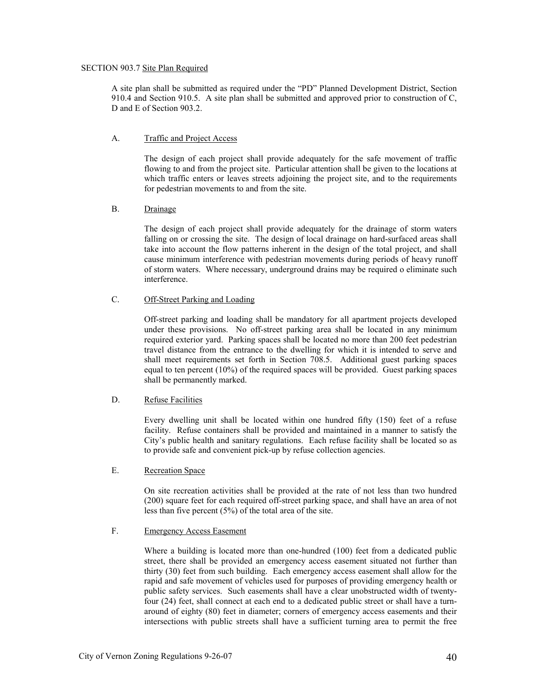# SECTION 903.7 Site Plan Required

 A site plan shall be submitted as required under the "PD" Planned Development District, Section 910.4 and Section 910.5. A site plan shall be submitted and approved prior to construction of C, D and E of Section 903.2.

# A. Traffic and Project Access

 The design of each project shall provide adequately for the safe movement of traffic flowing to and from the project site. Particular attention shall be given to the locations at which traffic enters or leaves streets adjoining the project site, and to the requirements for pedestrian movements to and from the site.

# B. Drainage

 The design of each project shall provide adequately for the drainage of storm waters falling on or crossing the site. The design of local drainage on hard-surfaced areas shall take into account the flow patterns inherent in the design of the total project, and shall cause minimum interference with pedestrian movements during periods of heavy runoff of storm waters. Where necessary, underground drains may be required o eliminate such interference.

# C. Off-Street Parking and Loading

 Off-street parking and loading shall be mandatory for all apartment projects developed under these provisions. No off-street parking area shall be located in any minimum required exterior yard. Parking spaces shall be located no more than 200 feet pedestrian travel distance from the entrance to the dwelling for which it is intended to serve and shall meet requirements set forth in Section 708.5. Additional guest parking spaces equal to ten percent  $(10\%)$  of the required spaces will be provided. Guest parking spaces shall be permanently marked.

# D. Refuse Facilities

 Every dwelling unit shall be located within one hundred fifty (150) feet of a refuse facility. Refuse containers shall be provided and maintained in a manner to satisfy the City's public health and sanitary regulations. Each refuse facility shall be located so as to provide safe and convenient pick-up by refuse collection agencies.

# E. Recreation Space

 On site recreation activities shall be provided at the rate of not less than two hundred (200) square feet for each required off-street parking space, and shall have an area of not less than five percent (5%) of the total area of the site.

# F. Emergency Access Easement

 Where a building is located more than one-hundred (100) feet from a dedicated public street, there shall be provided an emergency access easement situated not further than thirty (30) feet from such building. Each emergency access easement shall allow for the rapid and safe movement of vehicles used for purposes of providing emergency health or public safety services. Such easements shall have a clear unobstructed width of twentyfour (24) feet, shall connect at each end to a dedicated public street or shall have a turnaround of eighty (80) feet in diameter; corners of emergency access easements and their intersections with public streets shall have a sufficient turning area to permit the free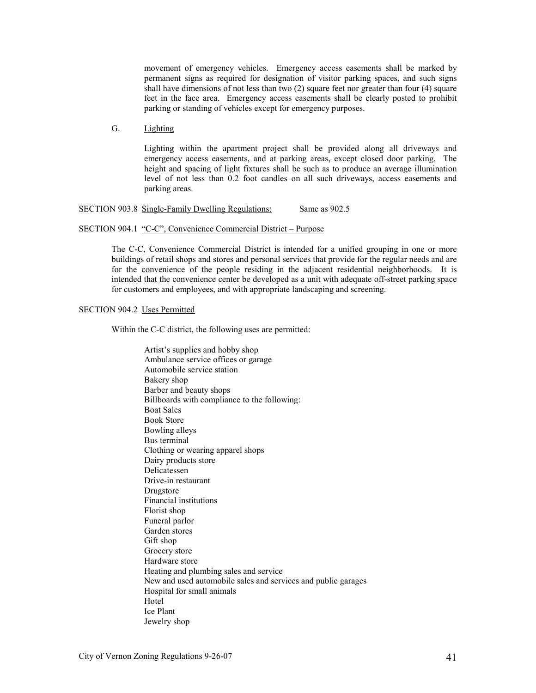movement of emergency vehicles. Emergency access easements shall be marked by permanent signs as required for designation of visitor parking spaces, and such signs shall have dimensions of not less than two (2) square feet nor greater than four (4) square feet in the face area. Emergency access easements shall be clearly posted to prohibit parking or standing of vehicles except for emergency purposes.

G. Lighting

 Lighting within the apartment project shall be provided along all driveways and emergency access easements, and at parking areas, except closed door parking. The height and spacing of light fixtures shall be such as to produce an average illumination level of not less than 0.2 foot candles on all such driveways, access easements and parking areas.

SECTION 903.8 Single-Family Dwelling Regulations: Same as 902.5

### SECTION 904.1 "C-C", Convenience Commercial District – Purpose

 The C-C, Convenience Commercial District is intended for a unified grouping in one or more buildings of retail shops and stores and personal services that provide for the regular needs and are for the convenience of the people residing in the adjacent residential neighborhoods. It is intended that the convenience center be developed as a unit with adequate off-street parking space for customers and employees, and with appropriate landscaping and screening.

# SECTION 904.2 Uses Permitted

Within the C-C district, the following uses are permitted:

Artist's supplies and hobby shop Ambulance service offices or garage Automobile service station Bakery shop Barber and beauty shops Billboards with compliance to the following: Boat Sales Book Store Bowling alleys Bus terminal Clothing or wearing apparel shops Dairy products store Delicatessen Drive-in restaurant Drugstore Financial institutions Florist shop Funeral parlor Garden stores Gift shop Grocery store Hardware store Heating and plumbing sales and service New and used automobile sales and services and public garages Hospital for small animals Hotel Ice Plant Jewelry shop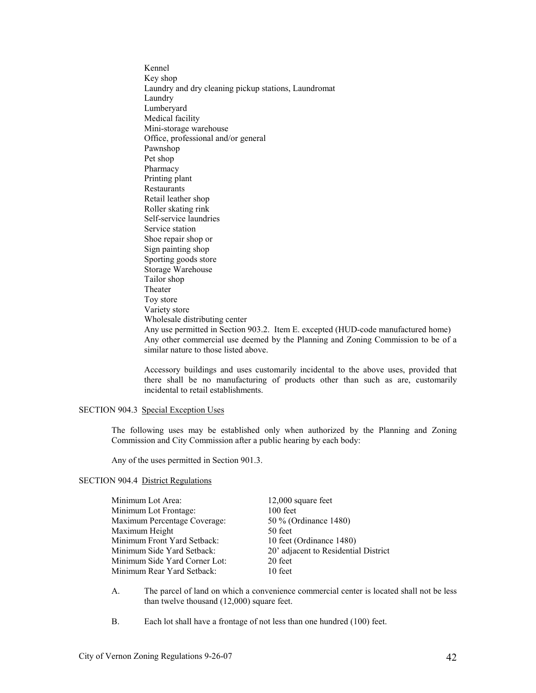Kennel Key shop Laundry and dry cleaning pickup stations, Laundromat Laundry Lumberyard Medical facility Mini-storage warehouse Office, professional and/or general Pawnshop Pet shop Pharmacy Printing plant Restaurants Retail leather shop Roller skating rink Self-service laundries Service station Shoe repair shop or Sign painting shop Sporting goods store Storage Warehouse Tailor shop Theater Toy store Variety store Wholesale distributing center Any use permitted in Section 903.2. Item E. excepted (HUD-code manufactured home) Any other commercial use deemed by the Planning and Zoning Commission to be of a similar nature to those listed above.

Accessory buildings and uses customarily incidental to the above uses, provided that there shall be no manufacturing of products other than such as are, customarily incidental to retail establishments.

# SECTION 904.3 Special Exception Uses

 The following uses may be established only when authorized by the Planning and Zoning Commission and City Commission after a public hearing by each body:

Any of the uses permitted in Section 901.3.

# SECTION 904.4 District Regulations

| Minimum Lot Area:             | $12,000$ square feet                 |
|-------------------------------|--------------------------------------|
| Minimum Lot Frontage:         | $100$ feet                           |
| Maximum Percentage Coverage:  | 50 % (Ordinance 1480)                |
| Maximum Height                | 50 feet                              |
| Minimum Front Yard Setback:   | 10 feet (Ordinance 1480)             |
| Minimum Side Yard Setback:    | 20' adjacent to Residential District |
| Minimum Side Yard Corner Lot: | 20 feet                              |
| Minimum Rear Yard Setback:    | 10 feet                              |

A. The parcel of land on which a convenience commercial center is located shall not be less than twelve thousand (12,000) square feet.

B. Each lot shall have a frontage of not less than one hundred (100) feet.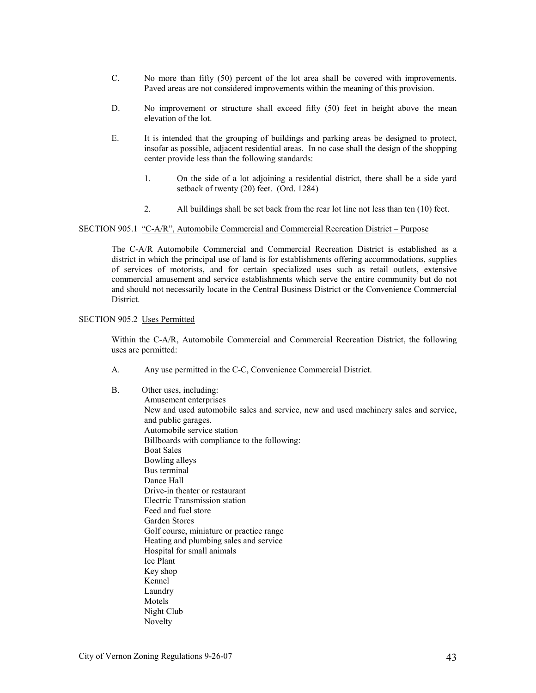- C. No more than fifty (50) percent of the lot area shall be covered with improvements. Paved areas are not considered improvements within the meaning of this provision.
- D. No improvement or structure shall exceed fifty (50) feet in height above the mean elevation of the lot.
- E. It is intended that the grouping of buildings and parking areas be designed to protect, insofar as possible, adjacent residential areas. In no case shall the design of the shopping center provide less than the following standards:
	- 1. On the side of a lot adjoining a residential district, there shall be a side yard setback of twenty (20) feet. (Ord. 1284)
	- 2. All buildings shall be set back from the rear lot line not less than ten (10) feet.

### SECTION 905.1 "C-A/R", Automobile Commercial and Commercial Recreation District – Purpose

 The C-A/R Automobile Commercial and Commercial Recreation District is established as a district in which the principal use of land is for establishments offering accommodations, supplies of services of motorists, and for certain specialized uses such as retail outlets, extensive commercial amusement and service establishments which serve the entire community but do not and should not necessarily locate in the Central Business District or the Convenience Commercial District.

### SECTION 905.2 Uses Permitted

 Within the C-A/R, Automobile Commercial and Commercial Recreation District, the following uses are permitted:

- A. Any use permitted in the C-C, Convenience Commercial District.
- B. Other uses, including: Amusement enterprises New and used automobile sales and service, new and used machinery sales and service, and public garages. Automobile service station Billboards with compliance to the following: Boat Sales Bowling alleys Bus terminal Dance Hall Drive-in theater or restaurant Electric Transmission station Feed and fuel store Garden Stores Golf course, miniature or practice range Heating and plumbing sales and service Hospital for small animals Ice Plant Key shop Kennel Laundry Motels Night Club Novelty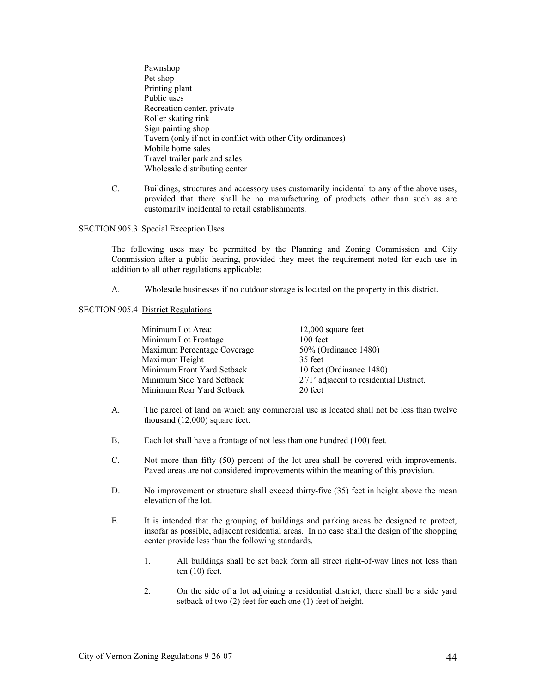- Pawnshop Pet shop Printing plant Public uses Recreation center, private Roller skating rink Sign painting shop Tavern (only if not in conflict with other City ordinances) Mobile home sales Travel trailer park and sales Wholesale distributing center
- C. Buildings, structures and accessory uses customarily incidental to any of the above uses, provided that there shall be no manufacturing of products other than such as are customarily incidental to retail establishments.

### SECTION 905.3 Special Exception Uses

 The following uses may be permitted by the Planning and Zoning Commission and City Commission after a public hearing, provided they meet the requirement noted for each use in addition to all other regulations applicable:

A. Wholesale businesses if no outdoor storage is located on the property in this district.

# SECTION 905.4 District Regulations

| $12,000$ square feet                    |
|-----------------------------------------|
| $100$ feet                              |
| 50% (Ordinance 1480)                    |
| 35 feet                                 |
| 10 feet (Ordinance 1480)                |
| 2'/1' adjacent to residential District. |
| 20 feet                                 |
|                                         |

- A. The parcel of land on which any commercial use is located shall not be less than twelve thousand (12,000) square feet.
- B. Each lot shall have a frontage of not less than one hundred (100) feet.
- C. Not more than fifty (50) percent of the lot area shall be covered with improvements. Paved areas are not considered improvements within the meaning of this provision.
- D. No improvement or structure shall exceed thirty-five (35) feet in height above the mean elevation of the lot.
- E. It is intended that the grouping of buildings and parking areas be designed to protect, insofar as possible, adjacent residential areas. In no case shall the design of the shopping center provide less than the following standards.
	- 1. All buildings shall be set back form all street right-of-way lines not less than ten (10) feet.
	- 2. On the side of a lot adjoining a residential district, there shall be a side yard setback of two (2) feet for each one (1) feet of height.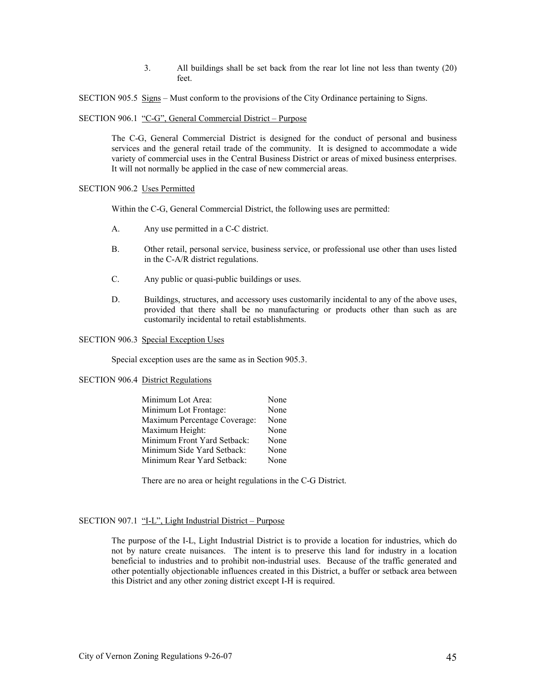3. All buildings shall be set back from the rear lot line not less than twenty (20) feet.

SECTION 905.5 Signs – Must conform to the provisions of the City Ordinance pertaining to Signs.

SECTION 906.1 "C-G", General Commercial District – Purpose

 The C-G, General Commercial District is designed for the conduct of personal and business services and the general retail trade of the community. It is designed to accommodate a wide variety of commercial uses in the Central Business District or areas of mixed business enterprises. It will not normally be applied in the case of new commercial areas.

### SECTION 906.2 Uses Permitted

Within the C-G, General Commercial District, the following uses are permitted:

- A. Any use permitted in a C-C district.
- B. Other retail, personal service, business service, or professional use other than uses listed in the C-A/R district regulations.
- C. Any public or quasi-public buildings or uses.
- D. Buildings, structures, and accessory uses customarily incidental to any of the above uses, provided that there shall be no manufacturing or products other than such as are customarily incidental to retail establishments.

### SECTION 906.3 Special Exception Uses

Special exception uses are the same as in Section 905.3.

### SECTION 906.4 District Regulations

| Minimum Lot Area:            | None |
|------------------------------|------|
| Minimum Lot Frontage:        | None |
| Maximum Percentage Coverage: | None |
| Maximum Height:              | None |
| Minimum Front Yard Setback:  | None |
| Minimum Side Yard Setback:   | None |
| Minimum Rear Yard Setback:   | None |

There are no area or height regulations in the C-G District.

### SECTION 907.1 "I-L", Light Industrial District – Purpose

 The purpose of the I-L, Light Industrial District is to provide a location for industries, which do not by nature create nuisances. The intent is to preserve this land for industry in a location beneficial to industries and to prohibit non-industrial uses. Because of the traffic generated and other potentially objectionable influences created in this District, a buffer or setback area between this District and any other zoning district except I-H is required.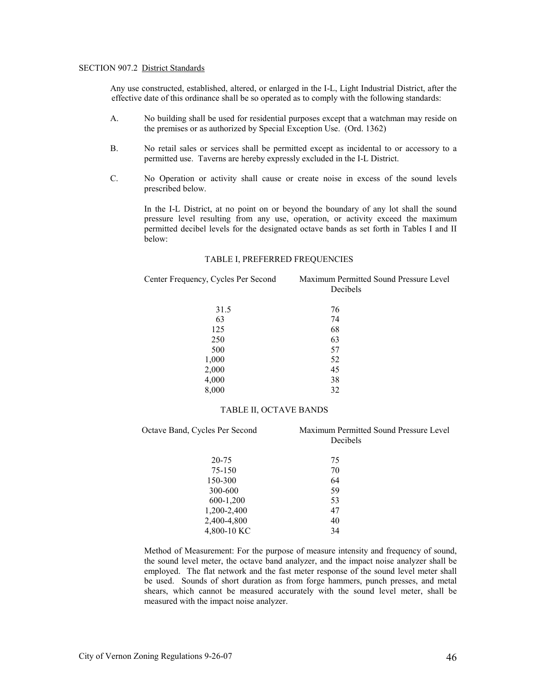### SECTION 907.2 District Standards

Any use constructed, established, altered, or enlarged in the I-L, Light Industrial District, after the effective date of this ordinance shall be so operated as to comply with the following standards:

- A. No building shall be used for residential purposes except that a watchman may reside on the premises or as authorized by Special Exception Use. (Ord. 1362)
- B. No retail sales or services shall be permitted except as incidental to or accessory to a permitted use. Taverns are hereby expressly excluded in the I-L District.
- C. No Operation or activity shall cause or create noise in excess of the sound levels prescribed below.

 In the I-L District, at no point on or beyond the boundary of any lot shall the sound pressure level resulting from any use, operation, or activity exceed the maximum permitted decibel levels for the designated octave bands as set forth in Tables I and II below:

### TABLE I, PREFERRED FREQUENCIES

Center Frequency, Cycles Per Second Maximum Permitted Sound Pressure Level Decibels

| 31.5  | 76 |
|-------|----|
| 63    | 74 |
| 125   | 68 |
| 250   | 63 |
| 500   | 57 |
| 1,000 | 52 |
| 2,000 | 45 |
| 4,000 | 38 |
| 8,000 | 32 |

# TABLE II, OCTAVE BANDS

| Octave Band, Cycles Per Second | Maximum Permitted Sound Pressure Level<br>Decibels |  |  |
|--------------------------------|----------------------------------------------------|--|--|
| 20-75                          | 75                                                 |  |  |
| 75-150                         | 70                                                 |  |  |
| 150-300                        | 64                                                 |  |  |
| 300-600                        | 59                                                 |  |  |
| 600-1,200                      | 53                                                 |  |  |
| 1,200-2,400                    | 47                                                 |  |  |
| 2,400-4,800                    | 40                                                 |  |  |
| 4,800-10 KC                    | 34                                                 |  |  |

Method of Measurement: For the purpose of measure intensity and frequency of sound, the sound level meter, the octave band analyzer, and the impact noise analyzer shall be employed. The flat network and the fast meter response of the sound level meter shall be used. Sounds of short duration as from forge hammers, punch presses, and metal shears, which cannot be measured accurately with the sound level meter, shall be measured with the impact noise analyzer.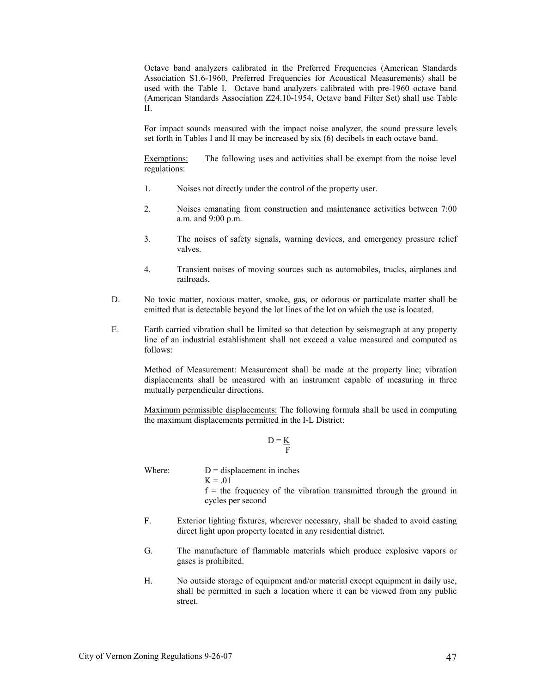Octave band analyzers calibrated in the Preferred Frequencies (American Standards Association S1.6-1960, Preferred Frequencies for Acoustical Measurements) shall be used with the Table I. Octave band analyzers calibrated with pre-1960 octave band (American Standards Association Z24.10-1954, Octave band Filter Set) shall use Table II.

For impact sounds measured with the impact noise analyzer, the sound pressure levels set forth in Tables I and II may be increased by six (6) decibels in each octave band.

Exemptions: The following uses and activities shall be exempt from the noise level regulations:

- 1. Noises not directly under the control of the property user.
- 2. Noises emanating from construction and maintenance activities between 7:00 a.m. and 9:00 p.m.
- 3. The noises of safety signals, warning devices, and emergency pressure relief valves.
- 4. Transient noises of moving sources such as automobiles, trucks, airplanes and railroads.
- D. No toxic matter, noxious matter, smoke, gas, or odorous or particulate matter shall be emitted that is detectable beyond the lot lines of the lot on which the use is located.
- E. Earth carried vibration shall be limited so that detection by seismograph at any property line of an industrial establishment shall not exceed a value measured and computed as follows:

 Method of Measurement: Measurement shall be made at the property line; vibration displacements shall be measured with an instrument capable of measuring in three mutually perpendicular directions.

 Maximum permissible displacements: The following formula shall be used in computing the maximum displacements permitted in the I-L District:

$$
D = \underline{K}
$$

Where:  $D =$  displacement in inches  $K = .01$  $f =$  the frequency of the vibration transmitted through the ground in cycles per second

- F. Exterior lighting fixtures, wherever necessary, shall be shaded to avoid casting direct light upon property located in any residential district.
- G. The manufacture of flammable materials which produce explosive vapors or gases is prohibited.
- H. No outside storage of equipment and/or material except equipment in daily use, shall be permitted in such a location where it can be viewed from any public street.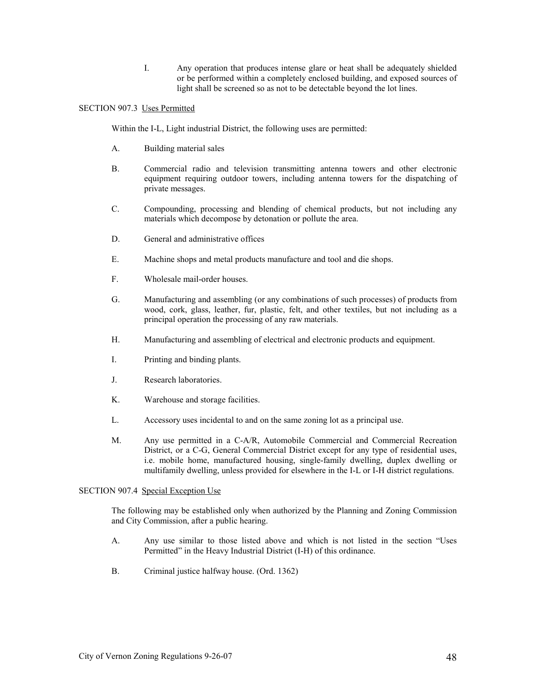I. Any operation that produces intense glare or heat shall be adequately shielded or be performed within a completely enclosed building, and exposed sources of light shall be screened so as not to be detectable beyond the lot lines.

# SECTION 907.3 Uses Permitted

Within the I-L, Light industrial District, the following uses are permitted:

- A. Building material sales
- B. Commercial radio and television transmitting antenna towers and other electronic equipment requiring outdoor towers, including antenna towers for the dispatching of private messages.
- C. Compounding, processing and blending of chemical products, but not including any materials which decompose by detonation or pollute the area.
- D. General and administrative offices
- E. Machine shops and metal products manufacture and tool and die shops.
- F. Wholesale mail-order houses.
- G. Manufacturing and assembling (or any combinations of such processes) of products from wood, cork, glass, leather, fur, plastic, felt, and other textiles, but not including as a principal operation the processing of any raw materials.
- H. Manufacturing and assembling of electrical and electronic products and equipment.
- I. Printing and binding plants.
- J. Research laboratories.
- K. Warehouse and storage facilities.
- L. Accessory uses incidental to and on the same zoning lot as a principal use.
- M. Any use permitted in a C-A/R, Automobile Commercial and Commercial Recreation District, or a C-G, General Commercial District except for any type of residential uses, i.e. mobile home, manufactured housing, single-family dwelling, duplex dwelling or multifamily dwelling, unless provided for elsewhere in the I-L or I-H district regulations.

# SECTION 907.4 Special Exception Use

The following may be established only when authorized by the Planning and Zoning Commission and City Commission, after a public hearing.

- A. Any use similar to those listed above and which is not listed in the section "Uses Permitted" in the Heavy Industrial District (I-H) of this ordinance.
- B. Criminal justice halfway house. (Ord. 1362)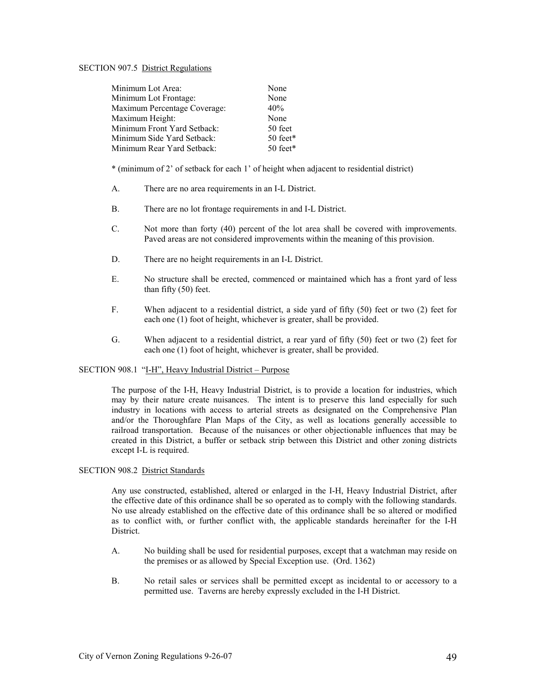### SECTION 907.5 District Regulations

| Minimum Lot Area:            | None       |
|------------------------------|------------|
| Minimum Lot Frontage:        | None       |
| Maximum Percentage Coverage: | 40%        |
| Maximum Height:              | None       |
| Minimum Front Yard Setback:  | 50 feet    |
| Minimum Side Yard Setback:   | $50$ feet* |
| Minimum Rear Yard Setback:   | $50$ feet* |
|                              |            |

\* (minimum of 2' of setback for each 1' of height when adjacent to residential district)

- A. There are no area requirements in an I-L District.
- B. There are no lot frontage requirements in and I-L District.
- C. Not more than forty (40) percent of the lot area shall be covered with improvements. Paved areas are not considered improvements within the meaning of this provision.
- D. There are no height requirements in an I-L District.
- E. No structure shall be erected, commenced or maintained which has a front yard of less than fifty (50) feet.
- F. When adjacent to a residential district, a side yard of fifty (50) feet or two (2) feet for each one (1) foot of height, whichever is greater, shall be provided.
- G. When adjacent to a residential district, a rear yard of fifty (50) feet or two (2) feet for each one (1) foot of height, whichever is greater, shall be provided.

### SECTION 908.1 "I-H", Heavy Industrial District – Purpose

 The purpose of the I-H, Heavy Industrial District, is to provide a location for industries, which may by their nature create nuisances. The intent is to preserve this land especially for such industry in locations with access to arterial streets as designated on the Comprehensive Plan and/or the Thoroughfare Plan Maps of the City, as well as locations generally accessible to railroad transportation. Because of the nuisances or other objectionable influences that may be created in this District, a buffer or setback strip between this District and other zoning districts except I-L is required.

### SECTION 908.2 District Standards

 Any use constructed, established, altered or enlarged in the I-H, Heavy Industrial District, after the effective date of this ordinance shall be so operated as to comply with the following standards. No use already established on the effective date of this ordinance shall be so altered or modified as to conflict with, or further conflict with, the applicable standards hereinafter for the I-H District.

- A. No building shall be used for residential purposes, except that a watchman may reside on the premises or as allowed by Special Exception use. (Ord. 1362)
- B. No retail sales or services shall be permitted except as incidental to or accessory to a permitted use. Taverns are hereby expressly excluded in the I-H District.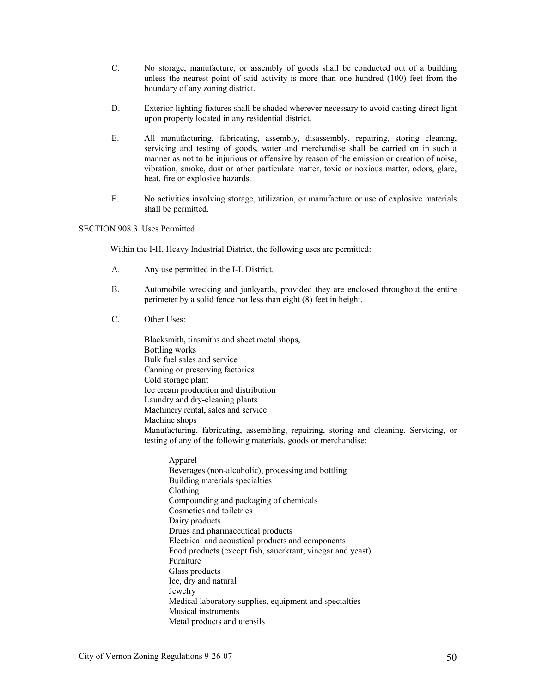- C. No storage, manufacture, or assembly of goods shall be conducted out of a building unless the nearest point of said activity is more than one hundred (100) feet from the boundary of any zoning district.
- D. Exterior lighting fixtures shall be shaded wherever necessary to avoid casting direct light upon property located in any residential district.
- E. All manufacturing, fabricating, assembly, disassembly, repairing, storing cleaning, servicing and testing of goods, water and merchandise shall be carried on in such a manner as not to be injurious or offensive by reason of the emission or creation of noise, vibration, smoke, dust or other particulate matter, toxic or noxious matter, odors, glare, heat, fire or explosive hazards.
- F. No activities involving storage, utilization, or manufacture or use of explosive materials shall be permitted.

### SECTION 908.3 Uses Permitted

Within the I-H, Heavy Industrial District, the following uses are permitted:

- A. Any use permitted in the I-L District.
- B. Automobile wrecking and junkyards, provided they are enclosed throughout the entire perimeter by a solid fence not less than eight (8) feet in height.
- C. Other Uses:

Blacksmith, tinsmiths and sheet metal shops, Bottling works Bulk fuel sales and service Canning or preserving factories Cold storage plant Ice cream production and distribution Laundry and dry-cleaning plants Machinery rental, sales and service Machine shops Manufacturing, fabricating, assembling, repairing, storing and cleaning. Servicing, or testing of any of the following materials, goods or merchandise:

Apparel Beverages (non-alcoholic), processing and bottling Building materials specialties Clothing Compounding and packaging of chemicals Cosmetics and toiletries Dairy products Drugs and pharmaceutical products Electrical and acoustical products and components Food products (except fish, sauerkraut, vinegar and yeast) Furniture Glass products Ice, dry and natural Jewelry Medical laboratory supplies, equipment and specialties Musical instruments Metal products and utensils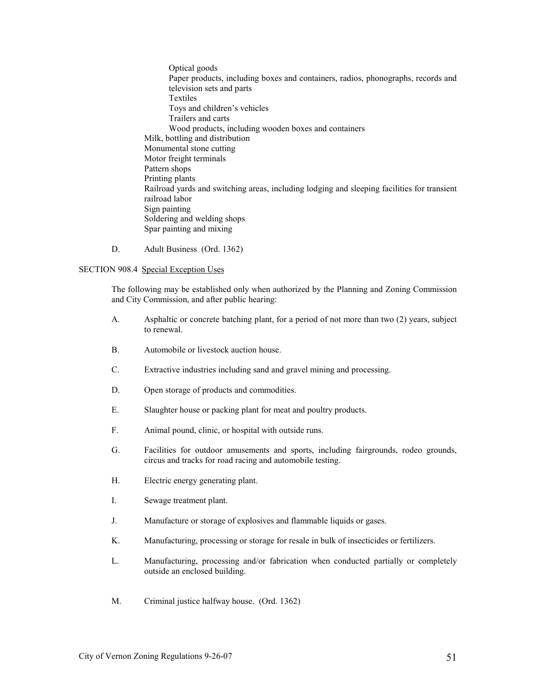Optical goods Paper products, including boxes and containers, radios, phonographs, records and television sets and parts Textiles Toys and children's vehicles Trailers and carts Wood products, including wooden boxes and containers Milk, bottling and distribution Monumental stone cutting Motor freight terminals Pattern shops Printing plants Railroad yards and switching areas, including lodging and sleeping facilities for transient railroad labor Sign painting Soldering and welding shops Spar painting and mixing

D. Adult Business (Ord. 1362)

# SECTION 908.4 Special Exception Uses

 The following may be established only when authorized by the Planning and Zoning Commission and City Commission, and after public hearing:

- A. Asphaltic or concrete batching plant, for a period of not more than two (2) years, subject to renewal.
- B. Automobile or livestock auction house.
- C. Extractive industries including sand and gravel mining and processing.
- D. Open storage of products and commodities.
- E. Slaughter house or packing plant for meat and poultry products.
- F. Animal pound, clinic, or hospital with outside runs.
- G. Facilities for outdoor amusements and sports, including fairgrounds, rodeo grounds, circus and tracks for road racing and automobile testing.
- H. Electric energy generating plant.
- I. Sewage treatment plant.
- J. Manufacture or storage of explosives and flammable liquids or gases.
- K. Manufacturing, processing or storage for resale in bulk of insecticides or fertilizers.
- L. Manufacturing, processing and/or fabrication when conducted partially or completely outside an enclosed building.
- M. Criminal justice halfway house. (Ord. 1362)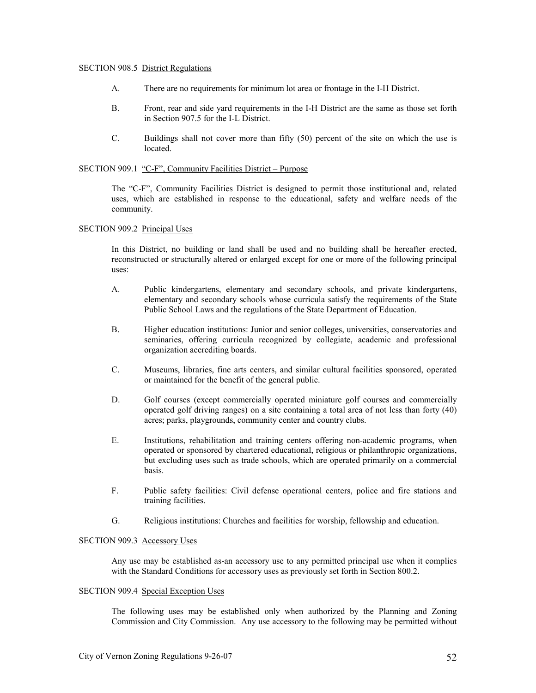#### SECTION 908.5 District Regulations

- A. There are no requirements for minimum lot area or frontage in the I-H District.
- B. Front, rear and side yard requirements in the I-H District are the same as those set forth in Section 907.5 for the I-L District.
- C. Buildings shall not cover more than fifty (50) percent of the site on which the use is located.

#### SECTION 909.1 "C-F", Community Facilities District – Purpose

 The "C-F", Community Facilities District is designed to permit those institutional and, related uses, which are established in response to the educational, safety and welfare needs of the community.

#### SECTION 909.2 Principal Uses

 In this District, no building or land shall be used and no building shall be hereafter erected, reconstructed or structurally altered or enlarged except for one or more of the following principal uses:

- A. Public kindergartens, elementary and secondary schools, and private kindergartens, elementary and secondary schools whose curricula satisfy the requirements of the State Public School Laws and the regulations of the State Department of Education.
- B. Higher education institutions: Junior and senior colleges, universities, conservatories and seminaries, offering curricula recognized by collegiate, academic and professional organization accrediting boards.
- C. Museums, libraries, fine arts centers, and similar cultural facilities sponsored, operated or maintained for the benefit of the general public.
- D. Golf courses (except commercially operated miniature golf courses and commercially operated golf driving ranges) on a site containing a total area of not less than forty (40) acres; parks, playgrounds, community center and country clubs.
- E. Institutions, rehabilitation and training centers offering non-academic programs, when operated or sponsored by chartered educational, religious or philanthropic organizations, but excluding uses such as trade schools, which are operated primarily on a commercial basis.
- F. Public safety facilities: Civil defense operational centers, police and fire stations and training facilities.
- G. Religious institutions: Churches and facilities for worship, fellowship and education.

### SECTION 909.3 Accessory Uses

 Any use may be established as-an accessory use to any permitted principal use when it complies with the Standard Conditions for accessory uses as previously set forth in Section 800.2.

### SECTION 909.4 Special Exception Uses

The following uses may be established only when authorized by the Planning and Zoning Commission and City Commission. Any use accessory to the following may be permitted without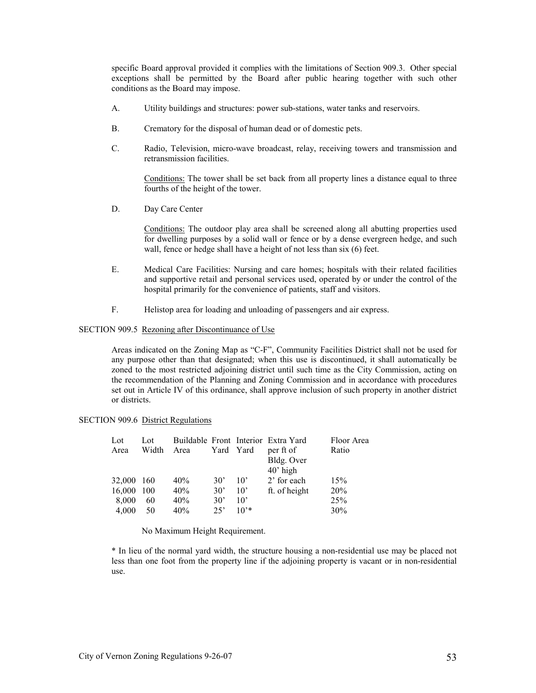specific Board approval provided it complies with the limitations of Section 909.3. Other special exceptions shall be permitted by the Board after public hearing together with such other conditions as the Board may impose.

- A. Utility buildings and structures: power sub-stations, water tanks and reservoirs.
- B. Crematory for the disposal of human dead or of domestic pets.
- C. Radio, Television, micro-wave broadcast, relay, receiving towers and transmission and retransmission facilities.

 Conditions: The tower shall be set back from all property lines a distance equal to three fourths of the height of the tower.

D. Day Care Center

 Conditions: The outdoor play area shall be screened along all abutting properties used for dwelling purposes by a solid wall or fence or by a dense evergreen hedge, and such wall, fence or hedge shall have a height of not less than six (6) feet.

- E. Medical Care Facilities: Nursing and care homes; hospitals with their related facilities and supportive retail and personal services used, operated by or under the control of the hospital primarily for the convenience of patients, staff and visitors.
- F. Helistop area for loading and unloading of passengers and air express.

# SECTION 909.5 Rezoning after Discontinuance of Use

 Areas indicated on the Zoning Map as "C-F", Community Facilities District shall not be used for any purpose other than that designated; when this use is discontinued, it shall automatically be zoned to the most restricted adjoining district until such time as the City Commission, acting on the recommendation of the Planning and Zoning Commission and in accordance with procedures set out in Article IV of this ordinance, shall approve inclusion of such property in another district or districts.

### SECTION 909.6 District Regulations

| Lot<br>Area | Lot<br>Width | Area | Yard Yard    |              | Buildable Front Interior Extra Yard<br>per ft of<br>Bldg. Over | Floor Area<br>Ratio |
|-------------|--------------|------|--------------|--------------|----------------------------------------------------------------|---------------------|
| 32,000 160  |              | 40%  | $30^{\circ}$ | $10^{\circ}$ | $40'$ high<br>2' for each                                      | 15%                 |
| 16,000 100  |              | 40%  | $30^{\circ}$ | $10^{\circ}$ | ft. of height                                                  | 20%                 |
| 8,000       | 60           | 40%  | $30^{\circ}$ | $10^{\circ}$ |                                                                | 25%                 |
| 4.000       | 50           | 40%  | 25           | $10^{1*}$    |                                                                | 30%                 |

No Maximum Height Requirement.

 \* In lieu of the normal yard width, the structure housing a non-residential use may be placed not less than one foot from the property line if the adjoining property is vacant or in non-residential use.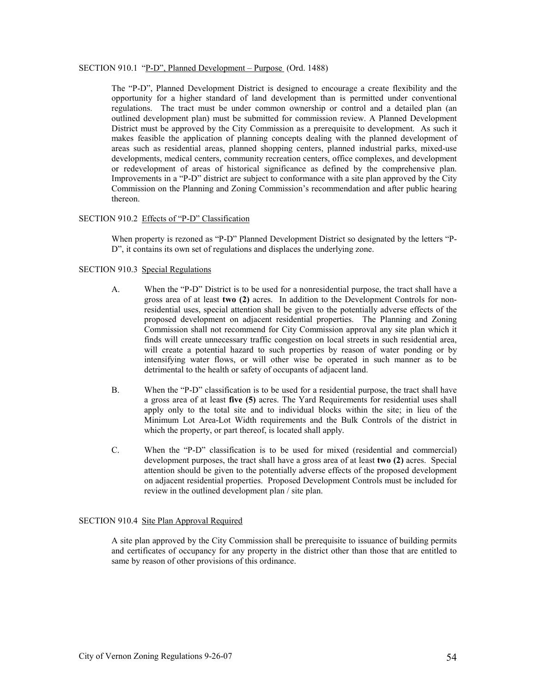### SECTION 910.1 "P-D", Planned Development – Purpose (Ord. 1488)

 The "P-D", Planned Development District is designed to encourage a create flexibility and the opportunity for a higher standard of land development than is permitted under conventional regulations. The tract must be under common ownership or control and a detailed plan (an outlined development plan) must be submitted for commission review. A Planned Development District must be approved by the City Commission as a prerequisite to development. As such it makes feasible the application of planning concepts dealing with the planned development of areas such as residential areas, planned shopping centers, planned industrial parks, mixed-use developments, medical centers, community recreation centers, office complexes, and development or redevelopment of areas of historical significance as defined by the comprehensive plan. Improvements in a "P-D" district are subject to conformance with a site plan approved by the City Commission on the Planning and Zoning Commission's recommendation and after public hearing thereon.

# SECTION 910.2 Effects of "P-D" Classification

 When property is rezoned as "P-D" Planned Development District so designated by the letters "P-D", it contains its own set of regulations and displaces the underlying zone.

# SECTION 910.3 Special Regulations

- A. When the "P-D" District is to be used for a nonresidential purpose, the tract shall have a gross area of at least two (2) acres. In addition to the Development Controls for nonresidential uses, special attention shall be given to the potentially adverse effects of the proposed development on adjacent residential properties. The Planning and Zoning Commission shall not recommend for City Commission approval any site plan which it finds will create unnecessary traffic congestion on local streets in such residential area, will create a potential hazard to such properties by reason of water ponding or by intensifying water flows, or will other wise be operated in such manner as to be detrimental to the health or safety of occupants of adjacent land.
- B. When the "P-D" classification is to be used for a residential purpose, the tract shall have a gross area of at least five (5) acres. The Yard Requirements for residential uses shall apply only to the total site and to individual blocks within the site; in lieu of the Minimum Lot Area-Lot Width requirements and the Bulk Controls of the district in which the property, or part thereof, is located shall apply.
- C. When the "P-D" classification is to be used for mixed (residential and commercial) development purposes, the tract shall have a gross area of at least two (2) acres. Special attention should be given to the potentially adverse effects of the proposed development on adjacent residential properties. Proposed Development Controls must be included for review in the outlined development plan / site plan.

### SECTION 910.4 Site Plan Approval Required

 A site plan approved by the City Commission shall be prerequisite to issuance of building permits and certificates of occupancy for any property in the district other than those that are entitled to same by reason of other provisions of this ordinance.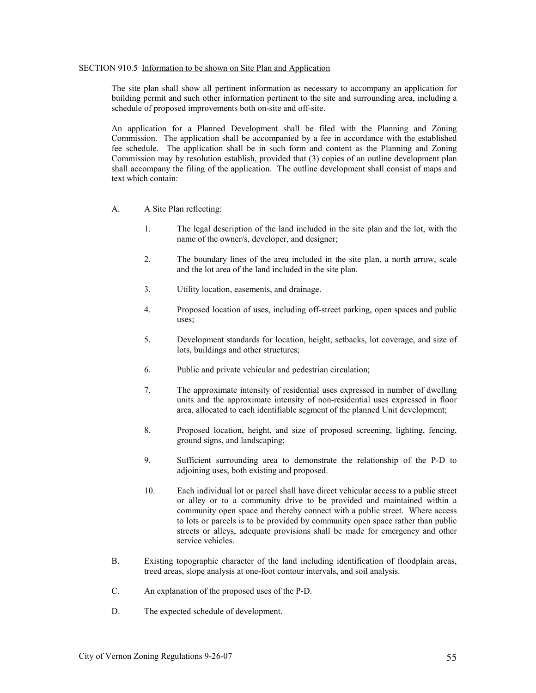#### SECTION 910.5 Information to be shown on Site Plan and Application

 The site plan shall show all pertinent information as necessary to accompany an application for building permit and such other information pertinent to the site and surrounding area, including a schedule of proposed improvements both on-site and off-site.

 An application for a Planned Development shall be filed with the Planning and Zoning Commission. The application shall be accompanied by a fee in accordance with the established fee schedule. The application shall be in such form and content as the Planning and Zoning Commission may by resolution establish, provided that (3) copies of an outline development plan shall accompany the filing of the application. The outline development shall consist of maps and text which contain:

- A. A Site Plan reflecting:
	- 1. The legal description of the land included in the site plan and the lot, with the name of the owner/s, developer, and designer;
	- 2. The boundary lines of the area included in the site plan, a north arrow, scale and the lot area of the land included in the site plan.
	- 3. Utility location, easements, and drainage.
	- 4. Proposed location of uses, including off-street parking, open spaces and public uses;
	- 5. Development standards for location, height, setbacks, lot coverage, and size of lots, buildings and other structures;
	- 6. Public and private vehicular and pedestrian circulation;
	- 7. The approximate intensity of residential uses expressed in number of dwelling units and the approximate intensity of non-residential uses expressed in floor area, allocated to each identifiable segment of the planned Unit development;
	- 8. Proposed location, height, and size of proposed screening, lighting, fencing, ground signs, and landscaping;
	- 9. Sufficient surrounding area to demonstrate the relationship of the P-D to adjoining uses, both existing and proposed.
	- 10. Each individual lot or parcel shall have direct vehicular access to a public street or alley or to a community drive to be provided and maintained within a community open space and thereby connect with a public street. Where access to lots or parcels is to be provided by community open space rather than public streets or alleys, adequate provisions shall be made for emergency and other service vehicles.
- B. Existing topographic character of the land including identification of floodplain areas, treed areas, slope analysis at one-foot contour intervals, and soil analysis.
- C. An explanation of the proposed uses of the P-D.
- D. The expected schedule of development.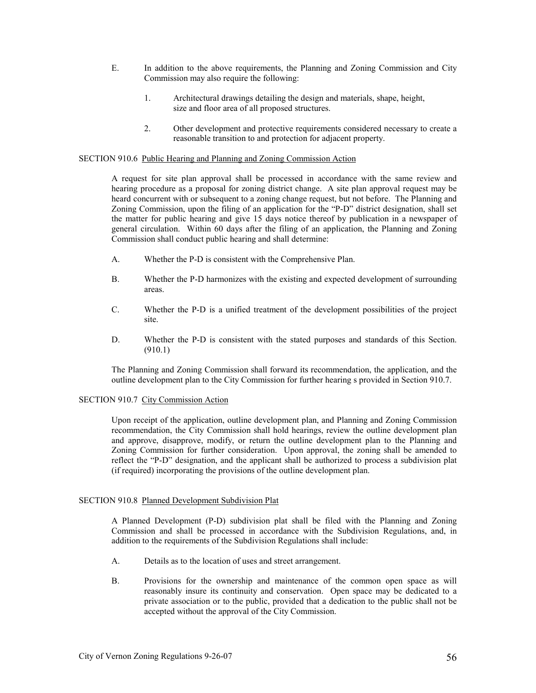- E. In addition to the above requirements, the Planning and Zoning Commission and City Commission may also require the following:
	- 1. Architectural drawings detailing the design and materials, shape, height, size and floor area of all proposed structures.
	- 2. Other development and protective requirements considered necessary to create a reasonable transition to and protection for adjacent property.

### SECTION 910.6 Public Hearing and Planning and Zoning Commission Action

 A request for site plan approval shall be processed in accordance with the same review and hearing procedure as a proposal for zoning district change. A site plan approval request may be heard concurrent with or subsequent to a zoning change request, but not before. The Planning and Zoning Commission, upon the filing of an application for the "P-D" district designation, shall set the matter for public hearing and give 15 days notice thereof by publication in a newspaper of general circulation. Within 60 days after the filing of an application, the Planning and Zoning Commission shall conduct public hearing and shall determine:

- A. Whether the P-D is consistent with the Comprehensive Plan.
- B. Whether the P-D harmonizes with the existing and expected development of surrounding areas.
- C. Whether the P-D is a unified treatment of the development possibilities of the project site.
- D. Whether the P-D is consistent with the stated purposes and standards of this Section. (910.1)

 The Planning and Zoning Commission shall forward its recommendation, the application, and the outline development plan to the City Commission for further hearing s provided in Section 910.7.

#### SECTION 910.7 City Commission Action

 Upon receipt of the application, outline development plan, and Planning and Zoning Commission recommendation, the City Commission shall hold hearings, review the outline development plan and approve, disapprove, modify, or return the outline development plan to the Planning and Zoning Commission for further consideration. Upon approval, the zoning shall be amended to reflect the "P-D" designation, and the applicant shall be authorized to process a subdivision plat (if required) incorporating the provisions of the outline development plan.

### SECTION 910.8 Planned Development Subdivision Plat

 A Planned Development (P-D) subdivision plat shall be filed with the Planning and Zoning Commission and shall be processed in accordance with the Subdivision Regulations, and, in addition to the requirements of the Subdivision Regulations shall include:

- A. Details as to the location of uses and street arrangement.
- B. Provisions for the ownership and maintenance of the common open space as will reasonably insure its continuity and conservation. Open space may be dedicated to a private association or to the public, provided that a dedication to the public shall not be accepted without the approval of the City Commission.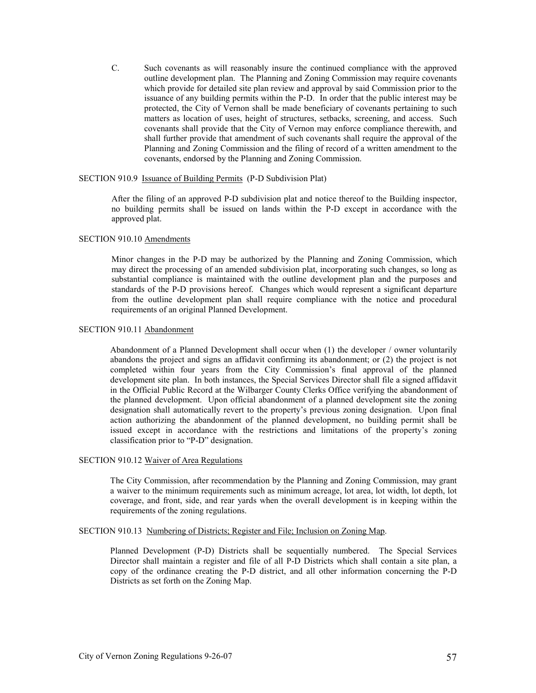C. Such covenants as will reasonably insure the continued compliance with the approved outline development plan. The Planning and Zoning Commission may require covenants which provide for detailed site plan review and approval by said Commission prior to the issuance of any building permits within the P-D. In order that the public interest may be protected, the City of Vernon shall be made beneficiary of covenants pertaining to such matters as location of uses, height of structures, setbacks, screening, and access. Such covenants shall provide that the City of Vernon may enforce compliance therewith, and shall further provide that amendment of such covenants shall require the approval of the Planning and Zoning Commission and the filing of record of a written amendment to the covenants, endorsed by the Planning and Zoning Commission.

### SECTION 910.9 Issuance of Building Permits (P-D Subdivision Plat)

 After the filing of an approved P-D subdivision plat and notice thereof to the Building inspector, no building permits shall be issued on lands within the P-D except in accordance with the approved plat.

# SECTION 910.10 Amendments

 Minor changes in the P-D may be authorized by the Planning and Zoning Commission, which may direct the processing of an amended subdivision plat, incorporating such changes, so long as substantial compliance is maintained with the outline development plan and the purposes and standards of the P-D provisions hereof. Changes which would represent a significant departure from the outline development plan shall require compliance with the notice and procedural requirements of an original Planned Development.

# SECTION 910.11 Abandonment

Abandonment of a Planned Development shall occur when (1) the developer / owner voluntarily abandons the project and signs an affidavit confirming its abandonment; or (2) the project is not completed within four years from the City Commission's final approval of the planned development site plan. In both instances, the Special Services Director shall file a signed affidavit in the Official Public Record at the Wilbarger County Clerks Office verifying the abandonment of the planned development. Upon official abandonment of a planned development site the zoning designation shall automatically revert to the property's previous zoning designation. Upon final action authorizing the abandonment of the planned development, no building permit shall be issued except in accordance with the restrictions and limitations of the property's zoning classification prior to "P-D" designation.

### SECTION 910.12 Waiver of Area Regulations

The City Commission, after recommendation by the Planning and Zoning Commission, may grant a waiver to the minimum requirements such as minimum acreage, lot area, lot width, lot depth, lot coverage, and front, side, and rear yards when the overall development is in keeping within the requirements of the zoning regulations.

#### SECTION 910.13 Numbering of Districts; Register and File; Inclusion on Zoning Map.

Planned Development (P-D) Districts shall be sequentially numbered. The Special Services Director shall maintain a register and file of all P-D Districts which shall contain a site plan, a copy of the ordinance creating the P-D district, and all other information concerning the P-D Districts as set forth on the Zoning Map.